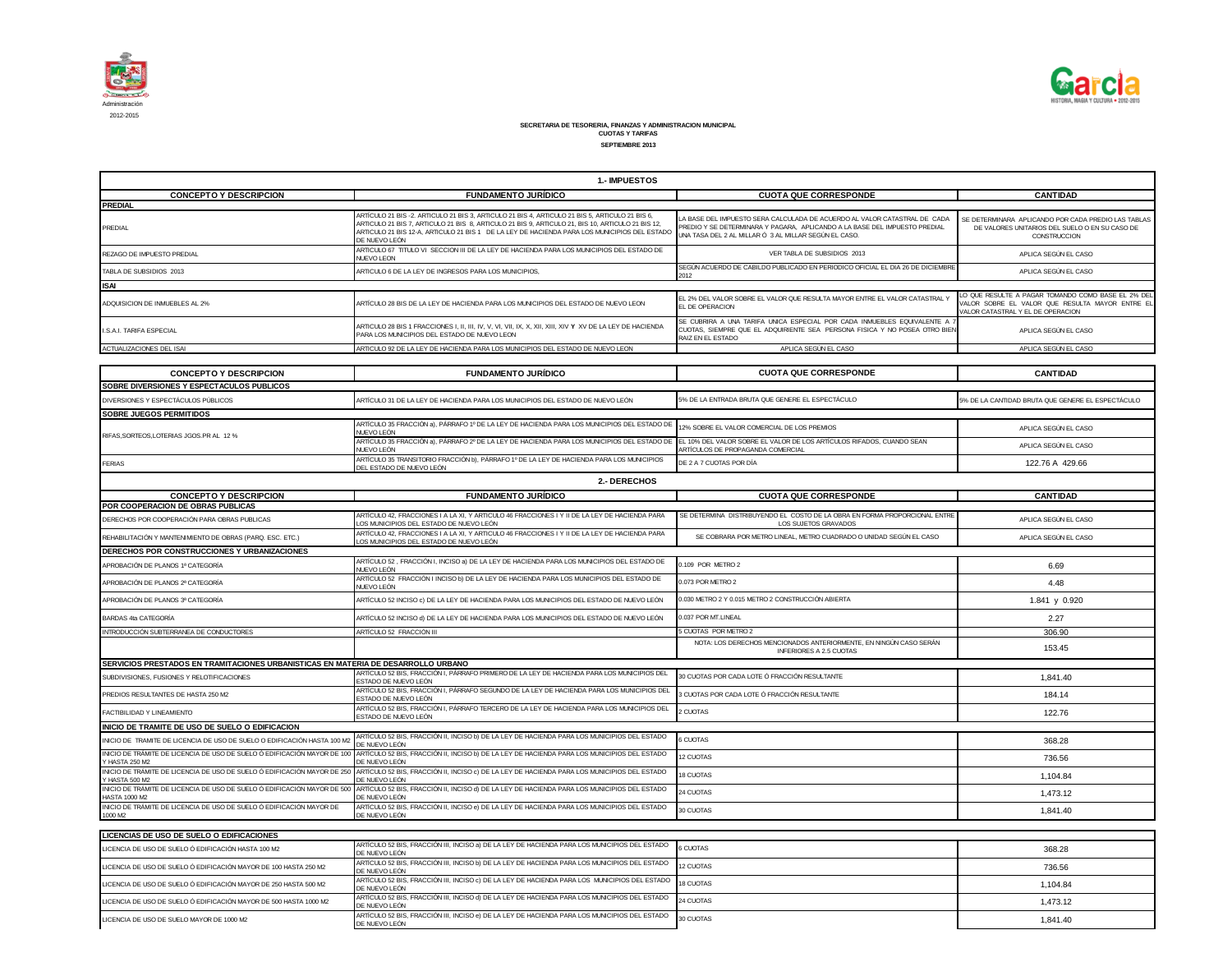



## **SECRETARIA DE TESORERIA, FINANZAS Y ADMINISTRACION MUNICIPAL CUOTAS Y TARIFAS SEPTIEMBRE 2013**

| <b>1. IMPUESTOS</b>                       |                                                                                                                                                                                                                                                                                                                       |                                                                                                                                                                                                                  |                                                                                                                                            |  |
|-------------------------------------------|-----------------------------------------------------------------------------------------------------------------------------------------------------------------------------------------------------------------------------------------------------------------------------------------------------------------------|------------------------------------------------------------------------------------------------------------------------------------------------------------------------------------------------------------------|--------------------------------------------------------------------------------------------------------------------------------------------|--|
| <b>CONCEPTO Y DESCRIPCION</b>             | <b>FUNDAMENTO JURÍDICO</b>                                                                                                                                                                                                                                                                                            | <b>CUOTA QUE CORRESPONDE</b>                                                                                                                                                                                     | <b>CANTIDAD</b>                                                                                                                            |  |
| <b>PREDIAL</b>                            |                                                                                                                                                                                                                                                                                                                       |                                                                                                                                                                                                                  |                                                                                                                                            |  |
| PREDIAL                                   | ARTÍCULO 21 BIS -2. ARTICULO 21 BIS 3. ARTICULO 21 BIS 4. ARTICULO 21 BIS 5. ARTICULO 21 BIS 6.<br>ARTICULO 21 BIS 7, ARTICULO 21 BIS 8, ARTICULO 21 BIS 9, ARTICULO 21, BIS 10, ARTICULO 21 BIS 12.<br>ARTICULO 21 BIS 12-A. ARTICULO 21 BIS 1 DE LA LEY DE HACIENDA PARA LOS MUNICIPIOS DEL ESTADO<br>DE NUEVO LEÓN | LA BASE DEL IMPUESTO SERA CALCULADA DE ACUERDO AL VALOR CATASTRAL DE CADA<br>PREDIO Y SE DETERMINARA Y PAGARA. APLICANDO A LA BASE DEL IMPUESTO PREDIAL<br>UNA TASA DEL 2 AL MILLAR Ó 3 AL MILLAR SEGÚN EL CASO. | SE DETERMINARA APLICANDO POR CADA PREDIO LAS TABLAS<br>DE VALORES UNITARIOS DEL SUELO O EN SU CASO DE<br>CONSTRUCCION                      |  |
| REZAGO DE IMPUESTO PREDIAL                | ARTICULO 67 TITULO VI SECCION III DE LA LEY DE HACIENDA PARA LOS MUNICIPIOS DEL ESTADO DE<br><b>NUEVO LEON</b>                                                                                                                                                                                                        | VER TABLA DE SUBSIDIOS 2013                                                                                                                                                                                      | APLICA SEGÚN EL CASO                                                                                                                       |  |
| TABLA DE SUBSIDIOS 2013                   | ARTICULO 6 DE LA LEY DE INGRESOS PARA LOS MUNICIPIOS.                                                                                                                                                                                                                                                                 | SEGÚN ACUERDO DE CABILDO PUBLICADO EN PERIODICO OFICIAL EL DIA 26 DE DICIEMBRE<br>2012                                                                                                                           | APLICA SEGÚN EL CASO                                                                                                                       |  |
| <b>ISAI</b>                               |                                                                                                                                                                                                                                                                                                                       |                                                                                                                                                                                                                  |                                                                                                                                            |  |
| ADQUISICION DE INMUEBLES AL 2%            | ARTÍCULO 28 BIS DE LA LEY DE HACIENDA PARA LOS MUNICIPIOS DEL ESTADO DE NUEVO LEON                                                                                                                                                                                                                                    | EL 2% DEL VALOR SOBRE EL VALOR QUE RESULTA MAYOR ENTRE EL VALOR CATASTRAL '<br>EL DE OPERACION                                                                                                                   | LO QUE RESULTE A PAGAR TOMANDO COMO BASE EL 2% DEL<br>VALOR SOBRE EL VALOR QUE RESULTA MAYOR ENTRE EL<br>VALOR CATASTRAL Y EL DE OPERACION |  |
| <b>LS A.L TARIFA ESPECIAL</b>             | PARA LOS MUNICIPIOS DEL ESTADO DE NUEVO LEON                                                                                                                                                                                                                                                                          | SE CUBRIRA A UNA TARIFA UNICA ESPECIAL POR CADA INMUEBLES EQUIVALENTE A 7<br>CUOTAS, SIEMPRE QUE EL ADQUIRIENTE SEA PERSONA FISICA Y NO POSEA OTRO BIEN<br>RAIZ EN EL ESTADO                                     | APLICA SEGÚN EL CASO                                                                                                                       |  |
| ACTUALIZACIONES DEL ISAI                  | ARTICULO 92 DE LA LEY DE HACIENDA PARA LOS MUNICIPIOS DEL ESTADO DE NUEVO LEON                                                                                                                                                                                                                                        | APLICA SEGÚN EL CASO                                                                                                                                                                                             | APLICA SEGÚN EL CASO                                                                                                                       |  |
|                                           |                                                                                                                                                                                                                                                                                                                       |                                                                                                                                                                                                                  |                                                                                                                                            |  |
| <b>CONCEPTO Y DESCRIPCION</b>             | <b>FUNDAMENTO JURÍDICO</b>                                                                                                                                                                                                                                                                                            | <b>CUOTA QUE CORRESPONDE</b>                                                                                                                                                                                     | <b>CANTIDAD</b>                                                                                                                            |  |
| SOBRE DIVERSIONES Y ESPECTACULOS PUBLICOS |                                                                                                                                                                                                                                                                                                                       |                                                                                                                                                                                                                  |                                                                                                                                            |  |
| DIVERSIONES Y ESPECTÁCULOS PÚBLICOS       | ARTÍCULO 31 DE LA LEY DE HACIENDA PARA LOS MUNICIPIOS DEL ESTADO DE NUEVO LEÓN                                                                                                                                                                                                                                        | 5% DE LA ENTRADA BRUTA QUE GENERE EL ESPECTÁCULO                                                                                                                                                                 | 5% DE LA CANTIDAD BRUTA QUE GENERE EL ESPECTÁCULO                                                                                          |  |
| <b>SOBRE JUEGOS PERMITIDOS</b>            |                                                                                                                                                                                                                                                                                                                       |                                                                                                                                                                                                                  |                                                                                                                                            |  |
| RIFAS.SORTEOS.LOTERIAS JGOS.PR AL 12 %    | ARTÍCULO 35 FRACCIÓN a). PÁRRAFO 1º DE LA LEY DE HACIENDA PARA LOS MUNICIPIOS DEL ESTADO DE<br>NUEVO LEÓN                                                                                                                                                                                                             | 12% SOBRE EL VALOR COMERCIAL DE LOS PREMIOS                                                                                                                                                                      | APLICA SEGÚN EL CASO                                                                                                                       |  |
|                                           | ARTÍCULO 35 FRACCIÓN a). PÁRRAFO 2º DE LA LEY DE HACIENDA PARA LOS MUNICIPIOS DEL ESTADO DE LEL 10% DEL VALOR SOBRE EL VALOR DE LOS ARTÍCULOS RIFADOS, CUANDO SEAN                                                                                                                                                    |                                                                                                                                                                                                                  | ADUCA CEOÚNIEL CACO                                                                                                                        |  |

| RIFAS, SURTEUS, LUTERIAS JUUS. PRIAL 12 %                                                  | ARTÍCULO 35 FRACCIÓN a). PÁRRAFO 2º DE LA LEY DE HACIENDA PARA LOS MUNICIPIOS DEL ESTADO DE EL 10% DEL VALOR SOBRE EL VALOR DE LOS ARTÍCULOS RIFADOS, CUANDO SEAN<br>NUEVO LEÓN        | ARTÍCULOS DE PROPAGANDA COMERCIAL                                                                    | APLICA SEGÚN EL CASO |  |
|--------------------------------------------------------------------------------------------|----------------------------------------------------------------------------------------------------------------------------------------------------------------------------------------|------------------------------------------------------------------------------------------------------|----------------------|--|
| <b>FERIAS</b>                                                                              | ARTÍCULO 35 TRANSITORIO FRACCIÓN b), PÁRRAFO 1º DE LA LEY DE HACIENDA PARA LOS MUNICIPIOS<br>DEL ESTADO DE NUEVO LEÓN                                                                  | DE 2 A 7 CUOTAS POR DÍA                                                                              | 122.76 A 429.66      |  |
|                                                                                            | 2.- DERECHOS                                                                                                                                                                           |                                                                                                      |                      |  |
| <b>CONCEPTO Y DESCRIPCION</b>                                                              | <b>FUNDAMENTO JURÍDICO</b>                                                                                                                                                             | <b>CUOTA QUE CORRESPONDE</b>                                                                         | <b>CANTIDAD</b>      |  |
| POR COOPERACION DE OBRAS PUBLICAS                                                          |                                                                                                                                                                                        |                                                                                                      |                      |  |
| DERECHOS POR COOPERACIÓN PARA OBRAS PUBLICAS                                               | ARTÍCULO 42. FRACCIONES I A LA XI. Y ARTICULO 46 FRACCIONES I Y II DE LA LEY DE HACIENDA PARA<br>LOS MUNICIPIOS DEL ESTADO DE NUEVO LEÓN                                               | SE DETERMINA DISTRIBUYENDO EL COSTO DE LA OBRA EN FORMA PROPORCIONAL ENTRE<br>LOS SUJETOS GRAVADOS   | APLICA SEGÚN EL CASO |  |
| REHABILITACIÓN Y MANTENIMIENTO DE OBRAS (PARQ. ESC. ETC.)                                  | ARTÍCULO 42. FRACCIONES I A LA XI. Y ARTICULO 46 FRACCIONES I Y II DE LA LEY DE HACIENDA PARA<br>LOS MUNICIPIOS DEL ESTADO DE NUEVO LEÓN                                               | SE COBRARA POR METRO LINEAL. METRO CUADRADO O UNIDAD SEGÚN EL CASO                                   | APLICA SEGÚN EL CASO |  |
| DERECHOS POR CONSTRUCCIONES Y URBANIZACIONES                                               |                                                                                                                                                                                        |                                                                                                      |                      |  |
| APROBACIÓN DE PLANOS 1ª CATEGORÍA                                                          | ARTÍCULO 52 , FRACCIÓN I, INCISO a) DE LA LEY DE HACIENDA PARA LOS MUNICIPIOS DEL ESTADO DE<br>NUEVO LEÓN                                                                              | 109 POR METRO 2                                                                                      | 6.69                 |  |
| APROBACIÓN DE PLANOS 2ª CATEGORÍA                                                          | ARTÍCULO 52 FRACCIÓN I INCISO b) DE LA LEY DE HACIENDA PARA LOS MUNICIPIOS DEL ESTADO DE<br>NUEVO LEÓN                                                                                 | 0.073 POR METRO 2                                                                                    | 4.48                 |  |
| APROBACIÓN DE PLANOS 3ª CATEGORÍA                                                          | ARTÍCULO 52 INCISO c) DE LA LEY DE HACIENDA PARA LOS MUNICIPIOS DEL ESTADO DE NUEVO LEÓN                                                                                               | 0.030 METRO 2 Y 0.015 METRO 2 CONSTRUCCIÓN ABIERTA                                                   | 1.841 y 0.920        |  |
| BARDAS 4ta CATEGORÍA                                                                       | ARTÍCULO 52 INCISO d) DE LA LEY DE HACIENDA PARA LOS MUNICIPIOS DEL ESTADO DE NUEVO LEÓN                                                                                               | 0.037 POR MT.LINEAL                                                                                  | 2.27                 |  |
| INTRODUCCIÓN SUBTERRANEA DE CONDUCTORES                                                    | ARTÍCULO 52 FRACCIÓN III                                                                                                                                                               | 5 CUOTAS POR METRO 2                                                                                 | 306.90               |  |
|                                                                                            |                                                                                                                                                                                        | NOTA: LOS DERECHOS MENCIONADOS ANTERIORMENTE, EN NINGÚN CASO SERÁN<br><b>INFERIORES A 2.5 CUOTAS</b> | 153.45               |  |
| SERVICIOS PRESTADOS EN TRAMITACIONES URBANISTICAS EN MATERIA DE DESARROLLO URBANO          |                                                                                                                                                                                        |                                                                                                      |                      |  |
| SUBDIVISIONES, FUSIONES Y RELOTIFICACIONES                                                 | ARTÍCULO 52 BIS, FRACCIÓN I, PÁRRAFO PRIMERO DE LA LEY DE HACIENDA PARA LOS MUNICIPIOS DEL<br>ESTADO DE NUEVO LEÓN                                                                     | 30 CUOTAS POR CADA LOTE Ó FRACCIÓN RESULTANTE                                                        | 1.841.40             |  |
| PREDIOS RESULTANTES DE HASTA 250 M2                                                        | ARTÍCULO 52 BIS, FRACCIÓN I, PÁRRAFO SEGUNDO DE LA LEY DE HACIENDA PARA LOS MUNICIPIOS DEI<br>ESTADO DE NUEVO LEÓN                                                                     | 3 CUOTAS POR CADA LOTE Ó FRACCIÓN RESULTANTE                                                         | 184.14               |  |
| FACTIBILIDAD Y LINEAMIENTO                                                                 | ARTÍCULO 52 BIS. FRACCIÓN I, PÁRRAFO TERCERO DE LA LEY DE HACIENDA PARA LOS MUNICIPIOS DEL<br>ESTADO DE NUEVO LEÓN                                                                     | 2 CUOTAS                                                                                             | 122.76               |  |
| INICIO DE TRAMITE DE USO DE SUELO O EDIFICACION                                            |                                                                                                                                                                                        |                                                                                                      |                      |  |
| INICIO DE TRAMITE DE LICENCIA DE USO DE SUELO O EDIFICACIÓN HASTA 100 M2                   | ARTÍCULO 52 BIS, FRACCIÓN II, INCISO b) DE LA LEY DE HACIENDA PARA LOS MUNICIPIOS DEL ESTADO<br>DE NUEVO LEÓN                                                                          | 6 CUOTAS                                                                                             | 368.28               |  |
| INICIO DE TRÁMITE DE LICENCIA DE USO DE SUELO Ó EDIFICACIÓN MAYOR DE 100<br>Y HASTA 250 M2 | ARTÍCULO 52 BIS, FRACCIÓN II, INCISO b) DE LA LEY DE HACIENDA PARA LOS MUNICIPIOS DEL ESTADO<br>DE NUEVO LEÓN                                                                          | 12 CUOTAS                                                                                            | 736.56               |  |
| INICIO DE TRÁMITE DE LICENCIA DE USO DE SUELO Ó EDIFICACIÓN MAYOR DE 250<br>Y HASTA 500 M2 | ARTÍCULO 52 BIS, FRACCIÓN II, INCISO c) DE LA LEY DE HACIENDA PARA LOS MUNICIPIOS DEL ESTADO<br>DE NUEVO LEÓN                                                                          | 18 CUOTAS                                                                                            | 1.104.84             |  |
| HASTA 1000 M2                                                                              | INICIO DE TRÁMITE DE LICENCIA DE USO DE SUELO Ó EDIFICACIÓN MAYOR DE 500 ARTÍCULO 52 BIS, FRACCIÓN II, INCISO d) DE LA LEY DE HACIENDA PARA LOS MUNICIPIOS DEL ESTADO<br>DE NUEVO LEÓN | 24 CUOTAS                                                                                            | 1.473.12             |  |
| INICIO DE TRÁMITE DE LICENCIA DE USO DE SUELO Ó EDIFICACIÓN MAYOR DE<br>1000 M2            | ARTÍCULO 52 BIS, FRACCIÓN II, INCISO e) DE LA LEY DE HACIENDA PARA LOS MUNICIPIOS DEL ESTADO<br>DE NUEVO LEÓN                                                                          | <b>30 CUOTAS</b>                                                                                     | 1.841.40             |  |

| LICENCIAS DE USO DE SUELO O EDIFICACIONES                         |                                                                                                                          |           |          |  |
|-------------------------------------------------------------------|--------------------------------------------------------------------------------------------------------------------------|-----------|----------|--|
| LICENCIA DE USO DE SUELO Ó EDIFICACIÓN HASTA 100 M2               | ARTÍCULO 52 BIS, FRACCIÓN III, INCISO a) DE LA LEY DE HACIENDA PARA LOS MUNICIPIOS DEL ESTADO<br>DE NUEVO LEÓN           | 6 CUOTAS  | 368.28   |  |
| LICENCIA DE USO DE SUELO Ó EDIFICACIÓN MAYOR DE 100 HASTA 250 M2  | ARTÍCULO 52 BIS, FRACCIÓN III, INCISO b) DE LA LEY DE HACIENDA PARA LOS MUNICIPIOS DEL ESTADO<br>DE NUEVO LEÓN           | 12 CUOTAS | 736.56   |  |
| LICENCIA DE USO DE SUELO Ó EDIFICACIÓN MAYOR DE 250 HASTA 500 M2  | ARTÍCULO 52 BIS, FRACCIÓN III, INCISO c) DE LA LEY DE HACIENDA PARA LOS MUNICIPIOS DEL ESTADO 18 CUOTAS<br>DE NUEVO LEÓN |           | 1.104.84 |  |
| LICENCIA DE USO DE SUELO Ó EDIFICACIÓN MAYOR DE 500 HASTA 1000 M2 | ARTÍCULO 52 BIS, FRACCIÓN III, INCISO d) DE LA LEY DE HACIENDA PARA LOS MUNICIPIOS DEL ESTADO<br>DE NUEVO LEÓN           | 24 CUOTAS | 1.473.12 |  |
| LICENCIA DE USO DE SUELO MAYOR DE 1000 M2                         | ARTÍCULO 52 BIS, FRACCIÓN III, INCISO e) DE LA LEY DE HACIENDA PARA LOS MUNICIPIOS DEL ESTADO<br>DE NUEVO LEÓN           | 30 CUOTAS | 1.841.40 |  |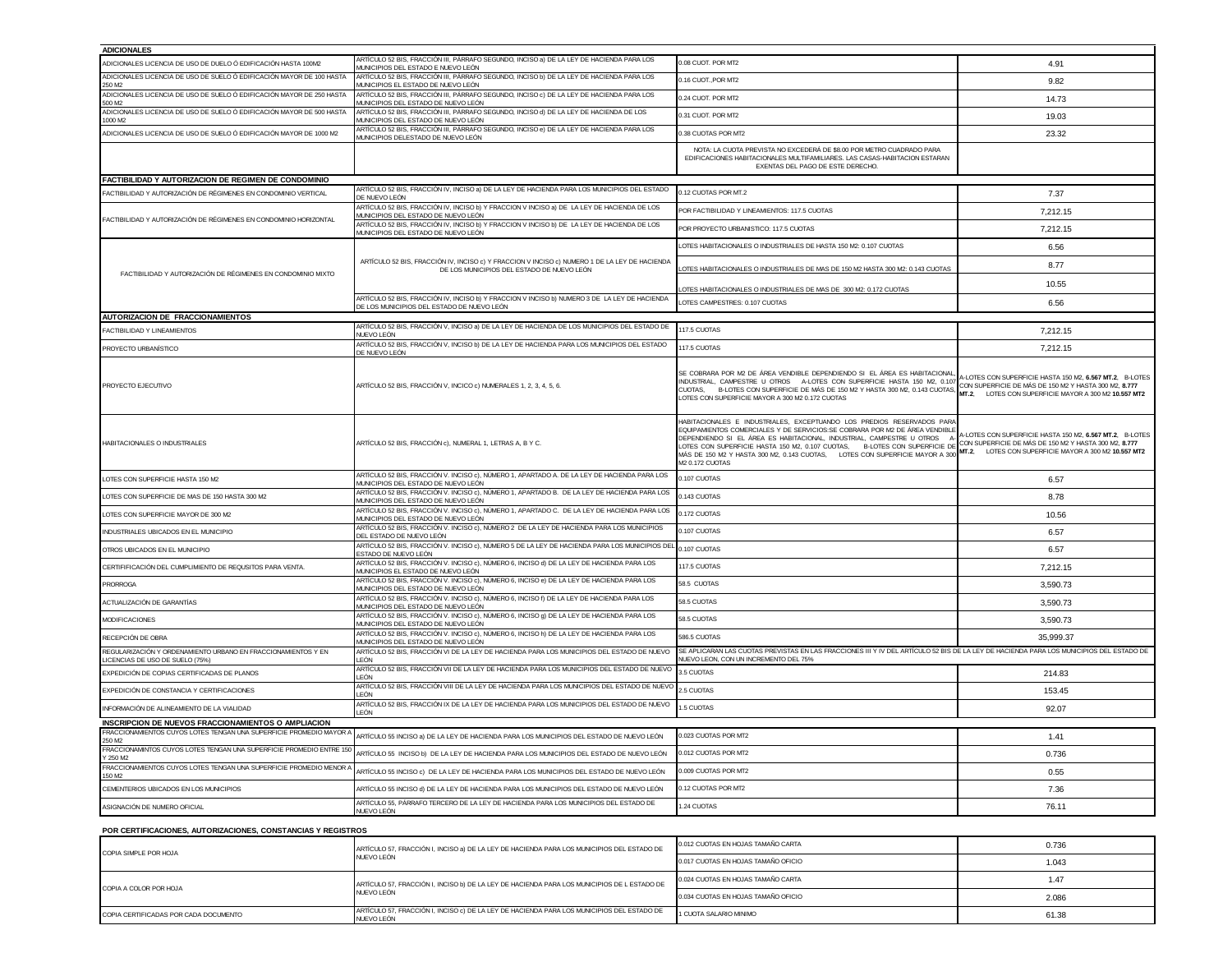| <b>ADICIONALES</b>                                                                                     |                                                                                                                                             |                                                                                                                                                                                                                                                                                                                                                                                                                                                            |                                                                                                                                                                         |
|--------------------------------------------------------------------------------------------------------|---------------------------------------------------------------------------------------------------------------------------------------------|------------------------------------------------------------------------------------------------------------------------------------------------------------------------------------------------------------------------------------------------------------------------------------------------------------------------------------------------------------------------------------------------------------------------------------------------------------|-------------------------------------------------------------------------------------------------------------------------------------------------------------------------|
| ADICIONALES LICENCIA DE USO DE DUELO Ó EDIFICACIÓN HASTA 100M2                                         | RTÍCULO 52 BIS, FRACCIÓN III, PÁRRAFO SEGUNDO, INCISO a) DE LA LEY DE HACIENDA PARA LOS<br>MUNICIPIOS DEL ESTADO E NUEVO LEÓN               | 0.08 CUOT. POR MT2                                                                                                                                                                                                                                                                                                                                                                                                                                         | 4.91                                                                                                                                                                    |
| ADICIONALES LICENCIA DE USO DE SUELO Ó EDIFICACIÓN MAYOR DE 100 HASTA<br>250 M2                        | ARTÍCULO 52 BIS. FRACCIÓN III, PÁRRAFO SEGUNDO, INCISO b) DE LA LEY DE HACIENDA PARA LOS<br>MUNICIPIOS EL ESTADO DE NUEVO LEÓN              | 0.16 CUOT., POR MT2                                                                                                                                                                                                                                                                                                                                                                                                                                        | 9.82                                                                                                                                                                    |
| ADICIONALES LICENCIA DE USO DE SUELO Ó EDIFICACIÓN MAYOR DE 250 HASTA<br>500 M2                        | ARTÍCULO 52 BIS, FRACCIÓN III, PÁRRAFO SEGUNDO, INCISO c) DE LA LEY DE HACIENDA PARA LOS<br>MUNICIPIOS DEL ESTADO DE NUEVO LEÓN             | 1.24 CLIOT. POR MT2                                                                                                                                                                                                                                                                                                                                                                                                                                        | 14.73                                                                                                                                                                   |
| ADICIONALES LICENCIA DE USO DE SUELO Ó EDIFICACIÓN MAYOR DE 500 HASTA<br>1000 M2                       | ARTÍCULO 52 BIS, FRACCIÓN III, PÁRRAFO SEGUNDO, INCISO d) DE LA LEY DE HACIENDA DE LOS<br>MUNICIPIOS DEL ESTADO DE NUEVO LEÓN               | 0.31 CUOT. POR MT2                                                                                                                                                                                                                                                                                                                                                                                                                                         | 19.03                                                                                                                                                                   |
| ADICIONALES LICENCIA DE USO DE SUELO Ó EDIFICACIÓN MAYOR DE 1000 M2                                    | ARTÍCULO 52 BIS, FRACCIÓN III, PÁRRAFO SEGUNDO, INCISO e) DE LA LEY DE HACIENDA PARA LOS<br>MUNICIPIOS DELESTADO DE NUEVO LEÓN              | 0.38 CUOTAS POR MT2                                                                                                                                                                                                                                                                                                                                                                                                                                        | 23.32                                                                                                                                                                   |
|                                                                                                        |                                                                                                                                             | NOTA: LA CUOTA PREVISTA NO EXCEDERÁ DE \$8.00 POR METRO CUADRADO PARA<br>EDIFICACIONES HABITACIONALES MULTIFAMILIARES. LAS CASAS-HABITACION ESTARAN<br>EXENTAS DEL PAGO DE ESTE DERECHO.                                                                                                                                                                                                                                                                   |                                                                                                                                                                         |
| FACTIBILIDAD Y AUTORIZACION DE REGIMEN DE CONDOMINIO                                                   |                                                                                                                                             |                                                                                                                                                                                                                                                                                                                                                                                                                                                            |                                                                                                                                                                         |
| ACTIBILIDAD Y AUTORIZACIÓN DE RÉGIMENES EN CONDOMINIO VERTICAL                                         | ARTÍCULO 52 BIS, FRACCIÓN IV, INCISO a) DE LA LEY DE HACIENDA PARA LOS MUNICIPIOS DEL ESTADO<br>DE NUEVO LEÓN                               | 0.12 CUOTAS POR MT.2                                                                                                                                                                                                                                                                                                                                                                                                                                       | 7.37                                                                                                                                                                    |
| FACTIBILIDAD Y AUTORIZACIÓN DE RÉGIMENES EN CONDOMINIO HORIZONTAL                                      | ARTÍCULO 52 BIS, FRACCIÓN IV, INCISO b) Y FRACCION V INCISO a) DE LA LEY DE HACIENDA DE LOS<br>MUNICIPIOS DEL ESTADO DE NUEVO LEÓN          | POR FACTIBILIDAD Y LINEAMIENTOS: 117.5 CUOTAS                                                                                                                                                                                                                                                                                                                                                                                                              | 7,212.15                                                                                                                                                                |
|                                                                                                        | ARTÍCULO 52 BIS, FRACCIÓN IV, INCISO b) Y FRACCION V INCISO b) DE LA LEY DE HACIENDA DE LOS<br>MUNICIPIOS DEL ESTADO DE NUEVO LEÓN          | POR PROYECTO URBANISTICO: 117.5 CUOTAS                                                                                                                                                                                                                                                                                                                                                                                                                     | 7.212.15                                                                                                                                                                |
|                                                                                                        |                                                                                                                                             | LOTES HABITACIONALES O INDUSTRIALES DE HASTA 150 M2: 0.107 CUOTAS                                                                                                                                                                                                                                                                                                                                                                                          | 6.56                                                                                                                                                                    |
| FACTIBILIDAD Y AUTORIZACIÓN DE RÉGIMENES EN CONDOMINIO MIXTO                                           | ARTÍCULO 52 BIS, FRACCIÓN IV, INCISO c) Y FRACCION V INCISO c) NUMERO 1 DE LA LEY DE HACIENDA<br>DE LOS MUNICIPIOS DEL ESTADO DE NUEVO LEÓN | OTES HABITACIONALES O INDUSTRIALES DE MAS DE 150 M2 HASTA 300 M2: 0.143 CUOTAS                                                                                                                                                                                                                                                                                                                                                                             | 8.77                                                                                                                                                                    |
|                                                                                                        |                                                                                                                                             | OTES HABITACIONALES O INDUSTRIALES DE MAS DE 300 M2: 0.172 CUOTAS                                                                                                                                                                                                                                                                                                                                                                                          | 10.55                                                                                                                                                                   |
|                                                                                                        | ARTÍCULO 52 BIS, FRACCIÓN IV, INCISO b) Y FRACCION V INCISO b) NUMERO 3 DE LA LEY DE HACIENDA<br>DE LOS MUNICIPIOS DEL ESTADO DE NUEVO LEÓN | OTES CAMPESTRES: 0.107 CUOTAS                                                                                                                                                                                                                                                                                                                                                                                                                              | 6.56                                                                                                                                                                    |
| <b>AUTORIZACION DE FRACCIONAMIENTOS</b>                                                                |                                                                                                                                             |                                                                                                                                                                                                                                                                                                                                                                                                                                                            |                                                                                                                                                                         |
| ACTIBILIDAD Y LINEAMIENTOS                                                                             | ARTÍCULO 52 BIS, FRACCIÓN V, INCISO a) DE LA LEY DE HACIENDA DE LOS MUNICIPIOS DEL ESTADO DE<br>NUEVO LEÓN                                  | 117.5 CUOTAS                                                                                                                                                                                                                                                                                                                                                                                                                                               | 7,212.15                                                                                                                                                                |
| PROYECTO URBANÍSTICO                                                                                   | ARTÍCULO 52 BIS, FRACCIÓN V, INCISO b) DE LA LEY DE HACIENDA PARA LOS MUNICIPIOS DEL ESTADO<br>DE NUEVO LEÓN                                | 17.5 CUOTAS                                                                                                                                                                                                                                                                                                                                                                                                                                                | 7.212.15                                                                                                                                                                |
| PROYECTO EJECUTIVO                                                                                     | ARTÍCULO 52 BIS, FRACCIÓN V, INCICO c) NUMERALES 1, 2, 3, 4, 5, 6.                                                                          | SE COBRARA POR M2 DE ÁREA VENDIBLE DEPENDIENDO SI EL ÁREA ES HABITACIONAI<br>INDUSTRIAL, CAMPESTRE U OTROS A-LOTES CON SUPERFICIE HASTA 150 M2, 0.107<br>, CAMPESTRE U OTRUS A-LOTES CON SUPERFICIE HASTA 150 MZ, 0.10/<br>B-LOTES CON SUPERFICIE DE MÁS DE 150 MZ Y HASTA 300 MZ, 0.143 CUOTAS, MT.2, LOTES CON SUPERFICIE MAYOR A 300 MZ, 8.777<br>SUPERFICIE MAYOR A 300 MZ 1.172 CUNTAS<br>CUOTAS.<br>LOTES CON SUPERFICIE MAYOR A 300 M2 0.172 CUOTAS | -LOTES CON SUPERFICIE HASTA 150 M2, 6.567 MT.2. B-LOTES                                                                                                                 |
| HABITACIONALES O INDUSTRIALES                                                                          | ARTÍCULO 52 BIS, FRACCIÓN c), NUMERAL 1, LETRAS A, B Y C.                                                                                   | HABITACIONALES E INDUSTRIALES, EXCEPTUANDO LOS PREDIOS RESERVADOS PARA<br>EQUIPAMIENTOS COMERCIALES Y DE SERVICIOS:SE COBRARA POR M2 DE ÁREA VENDIBLE<br>DEPENDIENDO SI EL ÁREA ES HABITACIONAL, INDUSTRIAL, CAMPESTRE U OTROS A<br>B-LOTES CON SUPERFICIE DE<br>LOTES CON SUPERFICIE HASTA 150 M2. 0.107 CUOTAS.<br>MÁS DE 150 M2 Y HASTA 300 M2, 0.143 CUOTAS,<br>LOTES CON SUPERFICIE MAYOR A 300<br>M2 0.172 CLIOTAS                                   | LOTES CON SUPERFICIE HASTA 150 M2, 6.567 MT.2, B-LOTES<br>CON SUPERFICIE DE MÁS DE 150 M2 Y HASTA 300 M2, 8.777<br>MT.2, LOTES CON SUPERFICIE MAYOR A 300 M2 10.557 MT2 |
| LOTES CON SUPERFICIE HASTA 150 M2                                                                      | ARTÍCULO 52 BIS, FRACCIÓN V. INCISO c), NÚMERO 1, APARTADO A. DE LA LEY DE HACIENDA PARA LOS<br>MUNICIPIOS DEL ESTADO DE NUEVO LEÓN         | 0.107 CUOTAS                                                                                                                                                                                                                                                                                                                                                                                                                                               | 6.57                                                                                                                                                                    |
| LOTES CON SUPERFICIE DE MAS DE 150 HASTA 300 M2                                                        | ARTÍCULO 52 BIS, FRACCIÓN V. INCISO c), NÚMERO 1, APARTADO B. DE LA LEY DE HACIENDA PARA LOS<br>MUNICIPIOS DEL ESTADO DE NUEVO LEÓN         | 143 CUOTAS                                                                                                                                                                                                                                                                                                                                                                                                                                                 | 8.78                                                                                                                                                                    |
| LOTES CON SUPERFICIE MAYOR DE 300 M2                                                                   | ARTÍCULO 52 BIS, FRACCIÓN V. INCISO c), NÚMERO 1, APARTADO C. DE LA LEY DE HACIENDA PARA LOS<br>MUNICIPIOS DEL ESTADO DE NUEVO LEÓN         | 0.172 CUOTAS                                                                                                                                                                                                                                                                                                                                                                                                                                               | 10.56                                                                                                                                                                   |
| INDUSTRIALES UBICADOS EN EL MUNICIPIO                                                                  | ARTÍCULO 52 BIS, FRACCIÓN V. INCISO c), NÚMERO 2 DE LA LEY DE HACIENDA PARA LOS MUNICIPIOS<br>DEL ESTADO DE NUEVO LEÓN                      | 0.107 CUOTAS                                                                                                                                                                                                                                                                                                                                                                                                                                               | 6.57                                                                                                                                                                    |
| OTROS UBICADOS EN EL MUNICIPIO                                                                         | ARTÍCULO 52 BIS, FRACCIÓN V. INCISO c), NÚMERO 5 DE LA LEY DE HACIENDA PARA LOS MUNICIPIOS DE<br>ESTADO DE NUEVO LEÓN                       | 107 CUOTAS                                                                                                                                                                                                                                                                                                                                                                                                                                                 | 6.57                                                                                                                                                                    |
| CERTIFIFICACIÓN DEL CUMPLIMIENTO DE REQUSITOS PARA VENTA                                               | ARTÍCULO 52 BIS, FRACCIÓN V. INCISO c), NÚMERO 6, INCISO d) DE LA LEY DE HACIENDA PARA LOS<br>MUNICIPIOS EL ESTADO DE NUEVO LEÓN            | 17.5 CUOTAS                                                                                                                                                                                                                                                                                                                                                                                                                                                | 7.212.15                                                                                                                                                                |
| <b>RORROGA</b>                                                                                         | ARTÍCULO 52 BIS, FRACCIÓN V. INCISO c), NÚMERO 6, INCISO e) DE LA LEY DE HACIENDA PARA LOS<br>MUNICIPIOS DEL ESTADO DE NUEVO LEÓN           | <b>58.5 CLIOTAS</b>                                                                                                                                                                                                                                                                                                                                                                                                                                        | 3,590.73                                                                                                                                                                |
| ACTUALIZACIÓN DE GARANTÍAS                                                                             | ARTÍCULO 52 BIS, FRACCIÓN V. INCISO c), NÚMERO 6, INCISO f) DE LA LEY DE HACIENDA PARA LOS<br>MUNICIPIOS DEL ESTADO DE NUEVO LEÓN           | 58.5 CUOTAS                                                                                                                                                                                                                                                                                                                                                                                                                                                | 3.590.73                                                                                                                                                                |
| <b>MODIFICACIONES</b>                                                                                  | ARTÍCULO 52 BIS, FRACCIÓN V. INCISO c), NÚMERO 6, INCISO 9) DE LA LEY DE HACIENDA PARA LOS<br>MUNICIPIOS DEL ESTADO DE NUEVO LEÓN           | 58.5 CUOTAS                                                                                                                                                                                                                                                                                                                                                                                                                                                | 3,590.73                                                                                                                                                                |
| RECEPCIÓN DE OBRA                                                                                      | ARTÍCULO 52 BIS, FRACCIÓN V. INCISO c), NÚMERO 6, INCISO h) DE LA LEY DE HACIENDA PARA LOS<br>MUNICIPIOS DEL ESTADO DE NUEVO LEÓN           | 586.5 CUOTAS                                                                                                                                                                                                                                                                                                                                                                                                                                               | 35,999.37                                                                                                                                                               |
| REGULARIZACIÓN Y ORDENAMIENTO URBANO EN FRACCIONAMIENTOS Y EN<br><b>ICENCIAS DE USO DE SUELO (75%)</b> | ARTÍCULO 52 BIS, FRACCIÓN VI DE LA LEY DE HACIENDA PARA LOS MUNICIPIOS DEL ESTADO DE NUEVO<br>LEÓN                                          | SE APLICARAN LAS CUOTAS PREVISTAS EN LAS FRACCIONES III Y IV DEL ARTÍCULO 52 BIS DE LA LEY DE HACIENDA PARA LOS MUNICIPIOS DEL ESTADO DE<br>JUEVO LEON, CON UN INCREMENTO DEL 75%                                                                                                                                                                                                                                                                          |                                                                                                                                                                         |
| EXPEDICIÓN DE COPIAS CERTIFICADAS DE PLANOS                                                            | ARTÍCULO 52 BIS, FRACCIÓN VII DE LA LEY DE HACIENDA PARA LOS MUNICIPIOS DEL ESTADO DE NUEVO<br>I FÓN                                        | 5 CUOTAS                                                                                                                                                                                                                                                                                                                                                                                                                                                   | 214.83                                                                                                                                                                  |
| EXPEDICIÓN DE CONSTANCIA Y CERTIFICACIONES                                                             | ARTÍCULO 52 BIS, FRACCIÓN VIII DE LA LEY DE HACIENDA PARA LOS MUNICIPIOS DEL ESTADO DE NUEV<br>LEÓN                                         | <b>2.5 CUOTAS</b>                                                                                                                                                                                                                                                                                                                                                                                                                                          | 153.45                                                                                                                                                                  |
| INFORMACIÓN DE ALINEAMIENTO DE LA VIALIDAD                                                             | ARTÍCULO 52 BIS, FRACCIÓN IX DE LA LEY DE HACIENDA PARA LOS MUNICIPIOS DEL ESTADO DE NUEVO<br>FÓN                                           | 5 CLIOTAS                                                                                                                                                                                                                                                                                                                                                                                                                                                  | 92.07                                                                                                                                                                   |
| INSCRIPCION DE NUEVOS FRACCIONAMIENTOS O AMPLIACION                                                    |                                                                                                                                             |                                                                                                                                                                                                                                                                                                                                                                                                                                                            |                                                                                                                                                                         |
| FRACCIONAMIENTOS CUYOS LOTES TENGAN UNA SUPERFICIE PROMEDIO MAYOR /<br>250 M2                          | ARTÍCULO 55 INCISO a) DE LA LEY DE HACIENDA PARA LOS MUNICIPIOS DEL ESTADO DE NUEVO LEÓN                                                    | 0.023 CUOTAS POR MT2                                                                                                                                                                                                                                                                                                                                                                                                                                       | 1.41                                                                                                                                                                    |
| FRACCIONAMINTOS CUYOS LOTES TENGAN UNA SUPERFICIE PROMEDIO ENTRE 150<br>Y 250 M2                       | ARTÍCULO 55 INCISO b) DE LA LEY DE HACIENDA PARA LOS MUNICIPIOS DEL ESTADO DE NUEVO LEÓN                                                    | 0.012 CUOTAS POR MT2                                                                                                                                                                                                                                                                                                                                                                                                                                       | 0.736                                                                                                                                                                   |
| FRACCIONAMIENTOS CUYOS LOTES TENGAN UNA SUPERFICIE PROMEDIO MENOR /<br>150 M2                          | ARTÍCULO 55 INCISO ¢) DE LA LEY DE HACIENDA PARA LOS MUNICIPIOS DEL ESTADO DE NUEVO LEÓN                                                    | 0.009 CUOTAS POR MT2                                                                                                                                                                                                                                                                                                                                                                                                                                       | 0.55                                                                                                                                                                    |
| CEMENTERIOS UBICADOS EN LOS MUNICIPIOS                                                                 | ARTÍCULO 55 INCISO d) DE LA LEY DE HACIENDA PARA LOS MUNICIPIOS DEL ESTADO DE NUEVO LEÓN                                                    | 0.12 CUOTAS POR MT2                                                                                                                                                                                                                                                                                                                                                                                                                                        | 7.36                                                                                                                                                                    |
| ASIGNACIÓN DE NUMERO OFICIAL                                                                           | ARTÍCULO 55, PÁRRAFO TERCERO DE LA LEY DE HACIENDA PARA LOS MUNICIPIOS DEL ESTADO DE<br>NUEVO LEÓN                                          | .24 CUOTAS                                                                                                                                                                                                                                                                                                                                                                                                                                                 | 76.11                                                                                                                                                                   |
| POR CERTIFICACIONES, AUTORIZACIONES, CONSTANCIAS Y REGISTROS                                           |                                                                                                                                             |                                                                                                                                                                                                                                                                                                                                                                                                                                                            |                                                                                                                                                                         |

| COPIA SIMPLE POR HOJA                 | ARTÍCULO 57. FRACCIÓN I. INCISO a) DE LA LEY DE HACIENDA PARA LOS MUNICIPIOS DEL ESTADO DE<br>NUEVO LEÓN  | 0.012 CUOTAS EN HOJAS TAMAÑO CARTA  | 0.736 |
|---------------------------------------|-----------------------------------------------------------------------------------------------------------|-------------------------------------|-------|
|                                       |                                                                                                           | 0.017 CUOTAS EN HOJAS TAMAÑO OFICIO | 1.043 |
| COPIA A COLOR POR HOJA                | ARTÍCULO 57, FRACCIÓN I, INCISO b) DE LA LEY DE HACIENDA PARA LOS MUNICIPIOS DE L ESTADO DE<br>NUEVO LEÓN | 0.024 CUOTAS EN HOJAS TAMAÑO CARTA  | 1.47  |
|                                       |                                                                                                           | 0.034 CUOTAS EN HOJAS TAMAÑO OFICIO | 2.086 |
| COPIA CERTIFICADAS POR CADA DOCUMENTO | ARTÍCULO 57. FRACCIÓN I. INCISO c) DE LA LEY DE HACIENDA PARA LOS MUNICIPIOS DEL ESTADO DE<br>NUEVO LEÓN  | 1 CUOTA SALARIO MINIMO              | 61.38 |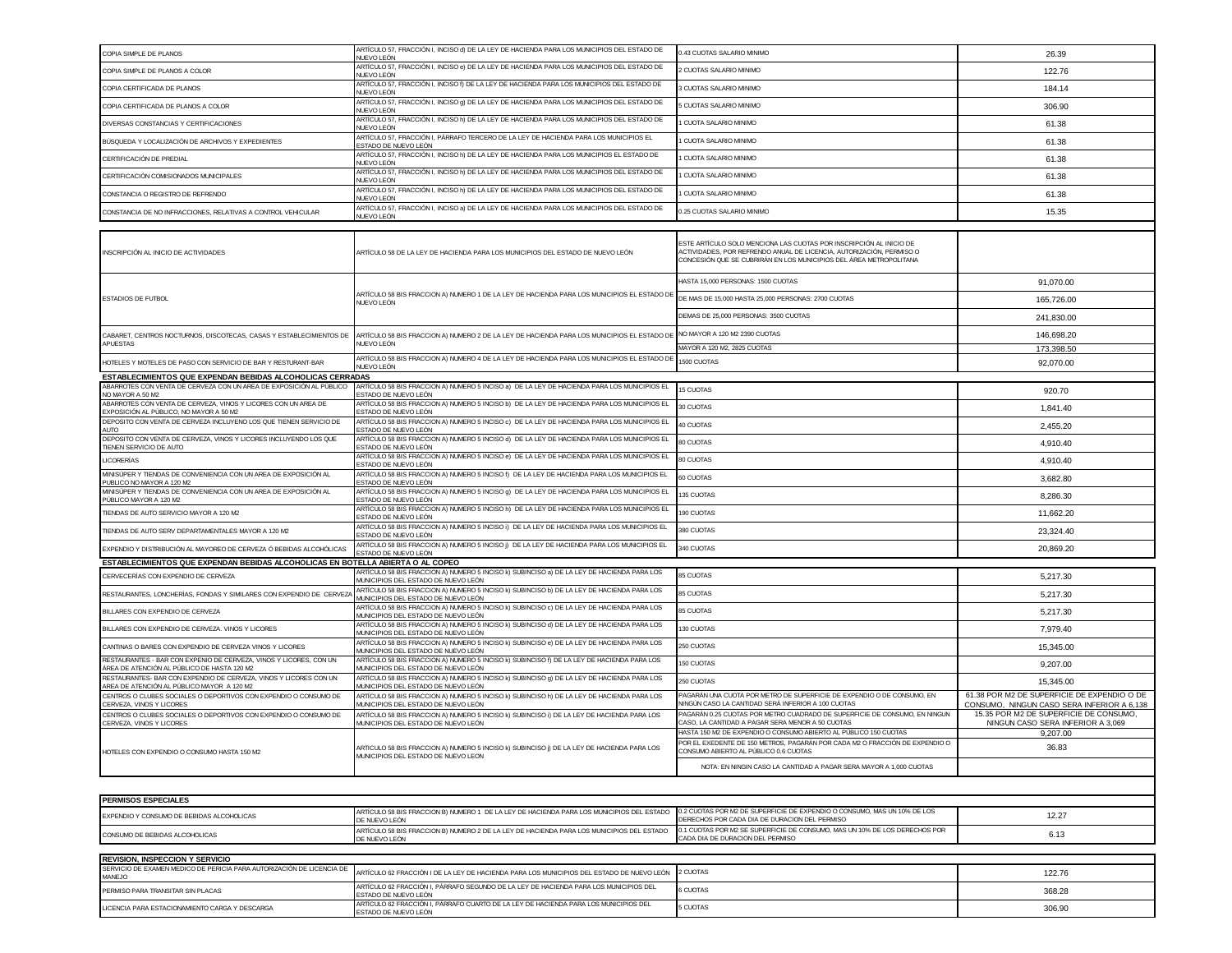| ARTÍCULO 57, FRACCIÓN I, INCISO e) DE LA LEY DE HACIENDA PARA LOS MUNICIPIOS DEL ESTADO DE<br><b>CUOTAS SALARIO MINIMO</b><br>122.76<br>NUEVO LEÓN<br>ARTÍCULO 57, FRACCIÓN I, INCISO f) DE LA LEY DE HACIENDA PARA LOS MUNICIPIOS DEL ESTADO DE<br><b>CLIOTAS SALARIO MINIMO</b><br>184.14<br>NUEVO LEÓN<br>ARTÍCULO 57, FRACCIÓN I, INCISO g) DE LA LEY DE HACIENDA PARA LOS MUNICIPIOS DEL ESTADO DE<br><b>CUOTAS SALARIO MINIMO</b><br>306.90<br>NUEVO LEÓN<br>ARTÍCULO 57, FRACCIÓN I, INCISO h) DE LA LEY DE HACIENDA PARA LOS MUNICIPIOS DEL ESTADO DE<br><b>CUOTA SALARIO MINIMO</b><br>61.38<br>NUEVO LEÓN<br>ARTÍCULO 57, FRACCIÓN I, PÁRRAFO TERCERO DE LA LEY DE HACIENDA PARA LOS MUNICIPIOS EL<br>CUOTA SALARIO MINIMO<br>61.38<br>ESTADO DE NUEVO LEÓN<br>ARTÍCULO 57, FRACCIÓN I, INCISO h) DE LA LEY DE HACIENDA PARA LOS MUNICIPIOS EL ESTADO DE<br>CUOTA SALARIO MINIMO<br>61.38<br>NUFVO I FÓN<br>ARTÍCULO 57, FRACCIÓN I, INCISO h) DE LA LEY DE HACIENDA PARA LOS MUNICIPIOS DEL ESTADO DE<br>CUOTA SALARIO MINIMO<br>61.38<br>NUEVO LEÓN<br>ARTÍCULO 57, FRACCIÓN I, INCISO h) DE LA LEY DE HACIENDA PARA LOS MUNICIPIOS DEL ESTADO DE<br>CUOTA SALARIO MINIMO<br>CONSTANCIA O REGISTRO DE REFRENDO<br>61.38<br>NUEVO LEÓN<br>ARTÍCULO 57, FRACCIÓN I, INCISO a) DE LA LEY DE HACIENDA PARA LOS MUNICIPIOS DEL ESTADO DE<br>0.25 CUOTAS SALARIO MINIMO<br>15.35<br>NUEVO LEÓN<br>ESTE ARTÍCULO SOLO MENCIONA LAS CUOTAS POR INSCRIPCIÓN AL INICIO DE<br>ACTIVIDADES, POR REFRENDO ANUAL DE LICENCIA, AUTORIZACIÓN, PERMISO O<br>ARTÍCULO 58 DE LA LEY DE HACIENDA PARA LOS MUNICIPIOS DEL ESTADO DE NUEVO LEÓN<br>CONCESIÓN QUE SE CUBRIRÁN EN LOS MUNICIPIOS DEL ÁREA METROPOLITANA<br>HASTA 15,000 PERSONAS: 1500 CUOTAS<br>91,070.00<br>ARTÍCULO 58 BIS FRACCION A) NUMERO 1 DE LA LEY DE HACIENDA PARA LOS MUNICIPIOS EL ESTADO DE<br>DE MAS DE 15,000 HASTA 25,000 PERSONAS: 2700 CUOTAS<br>165,726.00<br>NUEVO LEÓN<br>DEMAS DE 25.000 PERSONAS: 3500 CUOTAS<br>241,830.00<br>NO MAYOR A 120 M2 2390 CUOTAS<br>146.698.20<br>ARTÍCULO 58 BIS FRACCION A) NUMERO 2 DE LA LEY DE HACIENDA PARA LOS MUNICIPIOS EL ESTADO DI<br>APUESTAS<br><b>NUEVO LEÓN</b><br>MAYOR A 120 M2, 2825 CUOTAS<br>173,398.50<br>ARTÍCULO 58 BIS FRACCION A) NUMERO 4 DE LA LEY DE HACIENDA PARA LOS MUNICIPIOS EL ESTADO DE<br>HOTELES Y MOTELES DE PASO CON SERVICIO DE BAR Y RESTURANT-BAR<br>500 CUOTAS<br>92,070.00<br>NUEVO LEÓN<br>ESTABLECIMIENTOS QUE EXPENDAN BEBIDAS ALCOHOLICAS CERRADAS<br>ARTÍCULO 58 BIS FRACCION A) NUMERO 5 INCISO a) DE LA LEY DE HACIENDA PARA LOS MUNICIPIOS EL<br>15 CUOTAS<br>920.70<br>NO MAYOR A 50 M2<br>ESTADO DE NUEVO LEÓN<br>ARTÍCULO 58 BIS FRACCION A) NUMERO 5 INCISO b) DE LA LEY DE HACIENDA PARA LOS MUNICIPIOS EL<br>30 CLIOTAS<br>1,841.40<br>EXPOSICIÓN AL PÚBLICO, NO MAYOR A 50 M2<br>ESTADO DE NUEVO LEÓN<br>ARTÍCULO 58 BIS FRACCION A) NUMERO 5 INCISO c) DE LA LEY DE HACIENDA PARA LOS MUNICIPIOS EL<br>40 CUOTAS<br>2 455 20<br>ESTADO DE NUEVO LEÓN<br><b>AUTO</b><br>ARTÍCULO 58 BIS FRACCION A) NUMERO 5 INCISO d) DE LA LEY DE HACIENDA PARA LOS MUNICIPIOS EL<br>80 CUOTAS<br>4.910.40<br>TIENEN SERVICIO DE AUTO<br>ESTADO DE NUEVO LEÓN<br>ARTÍCULO 58 BIS FRACCION A) NUMERO 5 INCISO e) DE LA LEY DE HACIENDA PARA LOS MUNICIPIOS EL<br><b>BO CUOTAS</b><br>4.910.40<br>ESTADO DE NUEVO LEÓN<br>ARTÍCULO 58 BIS FRACCION A) NUMERO 5 INCISO f) DE LA LEY DE HACIENDA PARA LOS MUNICIPIOS EL<br>60 CUOTAS<br>3.682.80<br>PUBLICO NO MAYOR A 120 M2<br>ESTADO DE NUEVO LEÓN<br>ARTÍCULO 58 BIS FRACCION A) NUMERO 5 INCISO g) DE LA LEY DE HACIENDA PARA LOS MUNICIPIOS EL<br>135 CUOTAS<br>8.286.30<br>PÚBLICO MAYOR A 120 M2<br>ESTADO DE NUEVO LEÓN<br>ARTÍCULO 58 BIS FRACCION A) NUMERO 5 INCISO h) DE LA LEY DE HACIENDA PARA LOS MUNICIPIOS EL<br>190 CUOTAS<br>TIENDAS DE AUTO SERVICIO MAYOR A 120 M2<br>11,662.20<br>ESTADO DE NUEVO LEÓN.<br>ARTÍCULO 58 BIS FRACCION A) NUMERO 5 INCISO i) DE LA LEY DE HACIENDA PARA LOS MUNICIPIOS EL<br>380 CUOTAS<br>23,324.40<br>ESTADO DE NUEVO LEÓN<br>ARTÍCULO 58 BIS FRACCION A) NUMERO 5 INCISO j) DE LA LEY DE HACIENDA PARA LOS MUNICIPIOS EL<br>340 CUOTAS<br>20.869.20<br>ESTADO DE NUEVO LEÓN<br>ESTABLECIMIENTOS QUE EXPENDAN BEBIDAS ALCOHOLICAS EN BOTELLA ABIERTA O AL COPEO<br>ARTÍCULO 58 BIS FRACCION A) NUMERO 5 INCISO k) SUBINCISO a) DE LA LEY DE HACIENDA PARA LOS<br><b>85 CUOTAS</b><br>5,217.30<br>MUNICIPIOS DEL ESTADO DE NUEVO LEÓN<br>ARTÍCULO 58 BIS FRACCION A) NUMERO 5 INCISO k) SUBINCISO b) DE LA LEY DE HACIENDA PARA LOS<br>85 CUOTAS<br>5.217.30<br>MUNICIPIOS DEL ESTADO DE NUEVO LEÓN.<br>ARTÍCULO 58 BIS FRACCION A) NUMERO 5 INCISO k) SUBINCISO c) DE LA LEY DE HACIENDA PARA LOS<br>85 CUOTAS<br>BILLARES CON EXPENDIO DE CERVEZA<br>5,217.30<br>MUNICIPIOS DEL ESTADO DE NUEVO LEÓN<br>ARTÍCULO 58 BIS FRACCION A) NUMERO 5 INCISO k) SUBINCISO d) DE LA LEY DE HACIENDA PARA LOS<br>130 CUOTAS<br>7.979.40<br>MUNICIPIOS DEL ESTADO DE NUEVO LEÓN<br>ARTÍCULO 58 BIS FRACCION A) NUMERO 5 INCISO k) SUBINCISO e) DE LA LEY DE HACIENDA PARA LOS<br>250 CUOTAS<br>15,345.00<br>MUNICIPIOS DEL ESTADO DE NUEVO LEÓN<br>RESTAURANTES - BAR CON EXPENIO DE CERVEZA, VINOS Y LICORES, CON UN<br>ARTÍCULO 58 BIS FRACCION A) NUMERO 5 INCISO k) SUBINCISO f) DE LA LEY DE HACIENDA PARA LOS<br>150 CUOTAS<br>9,207.00<br>MUNICIPIOS DEL ESTADO DE NUEVO LEÓN<br>RESTAURANTES- BAR CON EXPENDIO DE CERVEZA, VINOS Y LICORES CON UN<br>ARTÍCULO 58 BIS FRACCION A) NUMERO 5 INCISO k) SUBINCISO g) DE LA LEY DE HACIENDA PARA LOS<br>250 CUOTAS<br>15,345.00<br>MUNICIPIOS DEL ESTADO DE NUEVO LEÓN<br>CENTROS O CLUBES SOCIALES O DEPORTIVOS CON EXPENDIO O CONSUMO DE<br>ARTÍCULO 58 BIS FRACCION A) NUMERO 5 INCISO k) SUBINCISO h) DE LA LEY DE HACIENDA PARA LOS<br>PAGARÁN UNA CUOTA POR METRO DE SUPERFICIE DE EXPENDIO O DE CONSUMO, EN<br>61.38 POR M2 DE SUPERFICIE DE EXPENDIO O DE<br>NINGÚN CASO LA CANTIDAD SERÁ INFERIOR A 100 CUOTAS<br>MUNICIPIOS DEL ESTADO DE NUEVO LEÓN<br>CONSUMO, NINGUN CASO SERA INFERIOR A 6,138<br>ARTÍCULO 58 BIS FRACCION A) NUMERO 5 INCISO k) SUBINCISO i) DE LA LEY DE HACIENDA PARA LOS<br>AGARÁN 0.25 CUOTAS POR METRO CUADRADO DE SUPERFICIE DE CONSUMO, EN NINGUN<br>15.35 POR M2 DE SUPERFICIE DE CONSUMO,<br>MUNICIPIOS DEL ESTADO DE NUEVO LEÓN<br>CASO, LA CANTIDAD A PAGAR SERA MENOR A 50 CUOTAS<br>NINGUN CASO SERA INFERIOR A 3,069<br>HASTA 150 M2 DE EXPENDIO O CONSUMO ABIERTO AL PÚBLICO 150 CUOTAS<br>9,207.00<br>POR EL EXEDENTE DE 150 METROS, PAGARÁN POR CADA M2 O FRACCIÓN DE EXPENDIO O<br>ARTICULO 58 BIS FRACCION A) NUMERO 5 INCISO k) SUBINCISO j) DE LA LEY DE HACIENDA PARA LOS<br>36.83<br>CONSUMO ABIERTO AL PÚBLICO 0.6 CUOTAS<br>MUNICIPIOS DEL ESTADO DE NUEVO LEON<br>NOTA: EN NINGIN CASO LA CANTIDAD A PAGAR SERA MAYOR A 1,000 CUOTAS<br>0.2 CUOTAS POR M2 DE SUPERFICIE DE EXPENDIO O CONSUMO, MAS UN 10% DE LOS<br>ARTÍCULO 58 BIS FRACCION B) NUMERO 1 DE LA LEY DE HACIENDA PARA LOS MUNICIPIOS DEL ESTADO | COPIA SIMPLE DE PLANOS                                                                       | ARTÍCULO 57, FRACCIÓN I, INCISO d) DE LA LEY DE HACIENDA PARA LOS MUNICIPIOS DEL ESTADO DE<br>NUEVO LEÓN | 0.43 CUOTAS SALARIO MINIMO                    | 26.39 |
|-----------------------------------------------------------------------------------------------------------------------------------------------------------------------------------------------------------------------------------------------------------------------------------------------------------------------------------------------------------------------------------------------------------------------------------------------------------------------------------------------------------------------------------------------------------------------------------------------------------------------------------------------------------------------------------------------------------------------------------------------------------------------------------------------------------------------------------------------------------------------------------------------------------------------------------------------------------------------------------------------------------------------------------------------------------------------------------------------------------------------------------------------------------------------------------------------------------------------------------------------------------------------------------------------------------------------------------------------------------------------------------------------------------------------------------------------------------------------------------------------------------------------------------------------------------------------------------------------------------------------------------------------------------------------------------------------------------------------------------------------------------------------------------------------------------------------------------------------------------------------------------------------------------------------------------------------------------------------------------------------------------------------------------------------------------------------------------------------------------------------------------------------------------------------------------------------------------------------------------------------------------------------------------------------------------------------------------------------------------------------------------------------------------------------------------------------------------------------------------------------------------------------------------------------------------------------------------------------------------------------------------------------------------------------------------------------------------------------------------------------------------------------------------------------------------------------------------------------------------------------------------------------------------------------------------------------------------------------------------------------------------------------------------------------------------------------------------------------------------------------------------------------------------------------------------------------------------------------------------------------------------------------------------------------------------------------------------------------------------------------------------------------------------------------------------------------------------------------------------------------------------------------------------------------------------------------------------------------------------------------------------------------------------------------------------------------------------------------------------------------------------------------------------------------------------------------------------------------------------------------------------------------------------------------------------------------------------------------------------------------------------------------------------------------------------------------------------------------------------------------------------------------------------------------------------------------------------------------------------------------------------------------------------------------------------------------------------------------------------------------------------------------------------------------------------------------------------------------------------------------------------------------------------------------------------------------------------------------------------------------------------------------------------------------------------------------------------------------------------------------------------------------------------------------------------------------------------------------------------------------------------------------------------------------------------------------------------------------------------------------------------------------------------------------------------------------------------------------------------------------------------------------------------------------------------------------------------------------------------------------------------------------------------------------------------------------------------------------------------------------------------------------------------------------------------------------------------------------------------------------------------------------------------------------------------------------------------------------------------------------------------------------------------------------------------------------------------------------------------------------------------------------------------------------------------------------------------------------------------------------------------------------------------------------------------------------------------------------------------------------------------------------------------------------------------------------------------------------------------------------------------------------------------------------------------------------------------------------------------------------------------------------------------------------------------------------------------------------------------------------------------------------------------------------------------------------------------------------------------------------------------------------------------------------------------------------------------------------------------------------------------------------------------------------------------------------------------------------------------------------------------------------------------------------------------------------------------------------------------------------------------------------------------------------------------------------------------------------------------------------------------------------------------------------------------------------|----------------------------------------------------------------------------------------------|----------------------------------------------------------------------------------------------------------|-----------------------------------------------|-------|
|                                                                                                                                                                                                                                                                                                                                                                                                                                                                                                                                                                                                                                                                                                                                                                                                                                                                                                                                                                                                                                                                                                                                                                                                                                                                                                                                                                                                                                                                                                                                                                                                                                                                                                                                                                                                                                                                                                                                                                                                                                                                                                                                                                                                                                                                                                                                                                                                                                                                                                                                                                                                                                                                                                                                                                                                                                                                                                                                                                                                                                                                                                                                                                                                                                                                                                                                                                                                                                                                                                                                                                                                                                                                                                                                                                                                                                                                                                                                                                                                                                                                                                                                                                                                                                                                                                                                                                                                                                                                                                                                                                                                                                                                                                                                                                                                                                                                                                                                                                                                                                                                                                                                                                                                                                                                                                                                                                                                                                                                                                                                                                                                                                                                                                                                                                                                                                                                                                                                                                                                                                                                                                                                                                                                                                                                                                                                                                                                                                                                                                                                                                                                                                                                                                                                                                                                                                                                                                                                                                                                                                                                       | COPIA SIMPLE DE PLANOS A COLOR                                                               |                                                                                                          |                                               |       |
|                                                                                                                                                                                                                                                                                                                                                                                                                                                                                                                                                                                                                                                                                                                                                                                                                                                                                                                                                                                                                                                                                                                                                                                                                                                                                                                                                                                                                                                                                                                                                                                                                                                                                                                                                                                                                                                                                                                                                                                                                                                                                                                                                                                                                                                                                                                                                                                                                                                                                                                                                                                                                                                                                                                                                                                                                                                                                                                                                                                                                                                                                                                                                                                                                                                                                                                                                                                                                                                                                                                                                                                                                                                                                                                                                                                                                                                                                                                                                                                                                                                                                                                                                                                                                                                                                                                                                                                                                                                                                                                                                                                                                                                                                                                                                                                                                                                                                                                                                                                                                                                                                                                                                                                                                                                                                                                                                                                                                                                                                                                                                                                                                                                                                                                                                                                                                                                                                                                                                                                                                                                                                                                                                                                                                                                                                                                                                                                                                                                                                                                                                                                                                                                                                                                                                                                                                                                                                                                                                                                                                                                                       | COPIA CERTIFICADA DE PLANOS                                                                  |                                                                                                          |                                               |       |
|                                                                                                                                                                                                                                                                                                                                                                                                                                                                                                                                                                                                                                                                                                                                                                                                                                                                                                                                                                                                                                                                                                                                                                                                                                                                                                                                                                                                                                                                                                                                                                                                                                                                                                                                                                                                                                                                                                                                                                                                                                                                                                                                                                                                                                                                                                                                                                                                                                                                                                                                                                                                                                                                                                                                                                                                                                                                                                                                                                                                                                                                                                                                                                                                                                                                                                                                                                                                                                                                                                                                                                                                                                                                                                                                                                                                                                                                                                                                                                                                                                                                                                                                                                                                                                                                                                                                                                                                                                                                                                                                                                                                                                                                                                                                                                                                                                                                                                                                                                                                                                                                                                                                                                                                                                                                                                                                                                                                                                                                                                                                                                                                                                                                                                                                                                                                                                                                                                                                                                                                                                                                                                                                                                                                                                                                                                                                                                                                                                                                                                                                                                                                                                                                                                                                                                                                                                                                                                                                                                                                                                                                       | COPIA CERTIFICADA DE PLANOS A COLOR                                                          |                                                                                                          |                                               |       |
|                                                                                                                                                                                                                                                                                                                                                                                                                                                                                                                                                                                                                                                                                                                                                                                                                                                                                                                                                                                                                                                                                                                                                                                                                                                                                                                                                                                                                                                                                                                                                                                                                                                                                                                                                                                                                                                                                                                                                                                                                                                                                                                                                                                                                                                                                                                                                                                                                                                                                                                                                                                                                                                                                                                                                                                                                                                                                                                                                                                                                                                                                                                                                                                                                                                                                                                                                                                                                                                                                                                                                                                                                                                                                                                                                                                                                                                                                                                                                                                                                                                                                                                                                                                                                                                                                                                                                                                                                                                                                                                                                                                                                                                                                                                                                                                                                                                                                                                                                                                                                                                                                                                                                                                                                                                                                                                                                                                                                                                                                                                                                                                                                                                                                                                                                                                                                                                                                                                                                                                                                                                                                                                                                                                                                                                                                                                                                                                                                                                                                                                                                                                                                                                                                                                                                                                                                                                                                                                                                                                                                                                                       | DIVERSAS CONSTANCIAS Y CERTIFICACIONES                                                       |                                                                                                          |                                               |       |
|                                                                                                                                                                                                                                                                                                                                                                                                                                                                                                                                                                                                                                                                                                                                                                                                                                                                                                                                                                                                                                                                                                                                                                                                                                                                                                                                                                                                                                                                                                                                                                                                                                                                                                                                                                                                                                                                                                                                                                                                                                                                                                                                                                                                                                                                                                                                                                                                                                                                                                                                                                                                                                                                                                                                                                                                                                                                                                                                                                                                                                                                                                                                                                                                                                                                                                                                                                                                                                                                                                                                                                                                                                                                                                                                                                                                                                                                                                                                                                                                                                                                                                                                                                                                                                                                                                                                                                                                                                                                                                                                                                                                                                                                                                                                                                                                                                                                                                                                                                                                                                                                                                                                                                                                                                                                                                                                                                                                                                                                                                                                                                                                                                                                                                                                                                                                                                                                                                                                                                                                                                                                                                                                                                                                                                                                                                                                                                                                                                                                                                                                                                                                                                                                                                                                                                                                                                                                                                                                                                                                                                                                       | BÚSQUEDA Y LOCALIZACIÓN DE ARCHIVOS Y EXPEDIENTES                                            |                                                                                                          |                                               |       |
|                                                                                                                                                                                                                                                                                                                                                                                                                                                                                                                                                                                                                                                                                                                                                                                                                                                                                                                                                                                                                                                                                                                                                                                                                                                                                                                                                                                                                                                                                                                                                                                                                                                                                                                                                                                                                                                                                                                                                                                                                                                                                                                                                                                                                                                                                                                                                                                                                                                                                                                                                                                                                                                                                                                                                                                                                                                                                                                                                                                                                                                                                                                                                                                                                                                                                                                                                                                                                                                                                                                                                                                                                                                                                                                                                                                                                                                                                                                                                                                                                                                                                                                                                                                                                                                                                                                                                                                                                                                                                                                                                                                                                                                                                                                                                                                                                                                                                                                                                                                                                                                                                                                                                                                                                                                                                                                                                                                                                                                                                                                                                                                                                                                                                                                                                                                                                                                                                                                                                                                                                                                                                                                                                                                                                                                                                                                                                                                                                                                                                                                                                                                                                                                                                                                                                                                                                                                                                                                                                                                                                                                                       | CERTIFICACIÓN DE PREDIAL                                                                     |                                                                                                          |                                               |       |
|                                                                                                                                                                                                                                                                                                                                                                                                                                                                                                                                                                                                                                                                                                                                                                                                                                                                                                                                                                                                                                                                                                                                                                                                                                                                                                                                                                                                                                                                                                                                                                                                                                                                                                                                                                                                                                                                                                                                                                                                                                                                                                                                                                                                                                                                                                                                                                                                                                                                                                                                                                                                                                                                                                                                                                                                                                                                                                                                                                                                                                                                                                                                                                                                                                                                                                                                                                                                                                                                                                                                                                                                                                                                                                                                                                                                                                                                                                                                                                                                                                                                                                                                                                                                                                                                                                                                                                                                                                                                                                                                                                                                                                                                                                                                                                                                                                                                                                                                                                                                                                                                                                                                                                                                                                                                                                                                                                                                                                                                                                                                                                                                                                                                                                                                                                                                                                                                                                                                                                                                                                                                                                                                                                                                                                                                                                                                                                                                                                                                                                                                                                                                                                                                                                                                                                                                                                                                                                                                                                                                                                                                       | CERTIFICACIÓN COMISIONADOS MUNICIPALES                                                       |                                                                                                          |                                               |       |
|                                                                                                                                                                                                                                                                                                                                                                                                                                                                                                                                                                                                                                                                                                                                                                                                                                                                                                                                                                                                                                                                                                                                                                                                                                                                                                                                                                                                                                                                                                                                                                                                                                                                                                                                                                                                                                                                                                                                                                                                                                                                                                                                                                                                                                                                                                                                                                                                                                                                                                                                                                                                                                                                                                                                                                                                                                                                                                                                                                                                                                                                                                                                                                                                                                                                                                                                                                                                                                                                                                                                                                                                                                                                                                                                                                                                                                                                                                                                                                                                                                                                                                                                                                                                                                                                                                                                                                                                                                                                                                                                                                                                                                                                                                                                                                                                                                                                                                                                                                                                                                                                                                                                                                                                                                                                                                                                                                                                                                                                                                                                                                                                                                                                                                                                                                                                                                                                                                                                                                                                                                                                                                                                                                                                                                                                                                                                                                                                                                                                                                                                                                                                                                                                                                                                                                                                                                                                                                                                                                                                                                                                       |                                                                                              |                                                                                                          |                                               |       |
|                                                                                                                                                                                                                                                                                                                                                                                                                                                                                                                                                                                                                                                                                                                                                                                                                                                                                                                                                                                                                                                                                                                                                                                                                                                                                                                                                                                                                                                                                                                                                                                                                                                                                                                                                                                                                                                                                                                                                                                                                                                                                                                                                                                                                                                                                                                                                                                                                                                                                                                                                                                                                                                                                                                                                                                                                                                                                                                                                                                                                                                                                                                                                                                                                                                                                                                                                                                                                                                                                                                                                                                                                                                                                                                                                                                                                                                                                                                                                                                                                                                                                                                                                                                                                                                                                                                                                                                                                                                                                                                                                                                                                                                                                                                                                                                                                                                                                                                                                                                                                                                                                                                                                                                                                                                                                                                                                                                                                                                                                                                                                                                                                                                                                                                                                                                                                                                                                                                                                                                                                                                                                                                                                                                                                                                                                                                                                                                                                                                                                                                                                                                                                                                                                                                                                                                                                                                                                                                                                                                                                                                                       | CONSTANCIA DE NO INFRACCIONES, RELATIVAS A CONTROL VEHICULAR                                 |                                                                                                          |                                               |       |
|                                                                                                                                                                                                                                                                                                                                                                                                                                                                                                                                                                                                                                                                                                                                                                                                                                                                                                                                                                                                                                                                                                                                                                                                                                                                                                                                                                                                                                                                                                                                                                                                                                                                                                                                                                                                                                                                                                                                                                                                                                                                                                                                                                                                                                                                                                                                                                                                                                                                                                                                                                                                                                                                                                                                                                                                                                                                                                                                                                                                                                                                                                                                                                                                                                                                                                                                                                                                                                                                                                                                                                                                                                                                                                                                                                                                                                                                                                                                                                                                                                                                                                                                                                                                                                                                                                                                                                                                                                                                                                                                                                                                                                                                                                                                                                                                                                                                                                                                                                                                                                                                                                                                                                                                                                                                                                                                                                                                                                                                                                                                                                                                                                                                                                                                                                                                                                                                                                                                                                                                                                                                                                                                                                                                                                                                                                                                                                                                                                                                                                                                                                                                                                                                                                                                                                                                                                                                                                                                                                                                                                                                       |                                                                                              |                                                                                                          |                                               |       |
|                                                                                                                                                                                                                                                                                                                                                                                                                                                                                                                                                                                                                                                                                                                                                                                                                                                                                                                                                                                                                                                                                                                                                                                                                                                                                                                                                                                                                                                                                                                                                                                                                                                                                                                                                                                                                                                                                                                                                                                                                                                                                                                                                                                                                                                                                                                                                                                                                                                                                                                                                                                                                                                                                                                                                                                                                                                                                                                                                                                                                                                                                                                                                                                                                                                                                                                                                                                                                                                                                                                                                                                                                                                                                                                                                                                                                                                                                                                                                                                                                                                                                                                                                                                                                                                                                                                                                                                                                                                                                                                                                                                                                                                                                                                                                                                                                                                                                                                                                                                                                                                                                                                                                                                                                                                                                                                                                                                                                                                                                                                                                                                                                                                                                                                                                                                                                                                                                                                                                                                                                                                                                                                                                                                                                                                                                                                                                                                                                                                                                                                                                                                                                                                                                                                                                                                                                                                                                                                                                                                                                                                                       | INSCRIPCIÓN AL INICIO DE ACTIVIDADES                                                         |                                                                                                          |                                               |       |
|                                                                                                                                                                                                                                                                                                                                                                                                                                                                                                                                                                                                                                                                                                                                                                                                                                                                                                                                                                                                                                                                                                                                                                                                                                                                                                                                                                                                                                                                                                                                                                                                                                                                                                                                                                                                                                                                                                                                                                                                                                                                                                                                                                                                                                                                                                                                                                                                                                                                                                                                                                                                                                                                                                                                                                                                                                                                                                                                                                                                                                                                                                                                                                                                                                                                                                                                                                                                                                                                                                                                                                                                                                                                                                                                                                                                                                                                                                                                                                                                                                                                                                                                                                                                                                                                                                                                                                                                                                                                                                                                                                                                                                                                                                                                                                                                                                                                                                                                                                                                                                                                                                                                                                                                                                                                                                                                                                                                                                                                                                                                                                                                                                                                                                                                                                                                                                                                                                                                                                                                                                                                                                                                                                                                                                                                                                                                                                                                                                                                                                                                                                                                                                                                                                                                                                                                                                                                                                                                                                                                                                                                       |                                                                                              |                                                                                                          |                                               |       |
|                                                                                                                                                                                                                                                                                                                                                                                                                                                                                                                                                                                                                                                                                                                                                                                                                                                                                                                                                                                                                                                                                                                                                                                                                                                                                                                                                                                                                                                                                                                                                                                                                                                                                                                                                                                                                                                                                                                                                                                                                                                                                                                                                                                                                                                                                                                                                                                                                                                                                                                                                                                                                                                                                                                                                                                                                                                                                                                                                                                                                                                                                                                                                                                                                                                                                                                                                                                                                                                                                                                                                                                                                                                                                                                                                                                                                                                                                                                                                                                                                                                                                                                                                                                                                                                                                                                                                                                                                                                                                                                                                                                                                                                                                                                                                                                                                                                                                                                                                                                                                                                                                                                                                                                                                                                                                                                                                                                                                                                                                                                                                                                                                                                                                                                                                                                                                                                                                                                                                                                                                                                                                                                                                                                                                                                                                                                                                                                                                                                                                                                                                                                                                                                                                                                                                                                                                                                                                                                                                                                                                                                                       | ESTADIOS DE FUTBOL                                                                           |                                                                                                          |                                               |       |
|                                                                                                                                                                                                                                                                                                                                                                                                                                                                                                                                                                                                                                                                                                                                                                                                                                                                                                                                                                                                                                                                                                                                                                                                                                                                                                                                                                                                                                                                                                                                                                                                                                                                                                                                                                                                                                                                                                                                                                                                                                                                                                                                                                                                                                                                                                                                                                                                                                                                                                                                                                                                                                                                                                                                                                                                                                                                                                                                                                                                                                                                                                                                                                                                                                                                                                                                                                                                                                                                                                                                                                                                                                                                                                                                                                                                                                                                                                                                                                                                                                                                                                                                                                                                                                                                                                                                                                                                                                                                                                                                                                                                                                                                                                                                                                                                                                                                                                                                                                                                                                                                                                                                                                                                                                                                                                                                                                                                                                                                                                                                                                                                                                                                                                                                                                                                                                                                                                                                                                                                                                                                                                                                                                                                                                                                                                                                                                                                                                                                                                                                                                                                                                                                                                                                                                                                                                                                                                                                                                                                                                                                       |                                                                                              |                                                                                                          |                                               |       |
|                                                                                                                                                                                                                                                                                                                                                                                                                                                                                                                                                                                                                                                                                                                                                                                                                                                                                                                                                                                                                                                                                                                                                                                                                                                                                                                                                                                                                                                                                                                                                                                                                                                                                                                                                                                                                                                                                                                                                                                                                                                                                                                                                                                                                                                                                                                                                                                                                                                                                                                                                                                                                                                                                                                                                                                                                                                                                                                                                                                                                                                                                                                                                                                                                                                                                                                                                                                                                                                                                                                                                                                                                                                                                                                                                                                                                                                                                                                                                                                                                                                                                                                                                                                                                                                                                                                                                                                                                                                                                                                                                                                                                                                                                                                                                                                                                                                                                                                                                                                                                                                                                                                                                                                                                                                                                                                                                                                                                                                                                                                                                                                                                                                                                                                                                                                                                                                                                                                                                                                                                                                                                                                                                                                                                                                                                                                                                                                                                                                                                                                                                                                                                                                                                                                                                                                                                                                                                                                                                                                                                                                                       | CABARET, CENTROS NOCTURNOS, DISCOTECAS, CASAS Y ESTABLECIMIENTOS DE                          |                                                                                                          |                                               |       |
|                                                                                                                                                                                                                                                                                                                                                                                                                                                                                                                                                                                                                                                                                                                                                                                                                                                                                                                                                                                                                                                                                                                                                                                                                                                                                                                                                                                                                                                                                                                                                                                                                                                                                                                                                                                                                                                                                                                                                                                                                                                                                                                                                                                                                                                                                                                                                                                                                                                                                                                                                                                                                                                                                                                                                                                                                                                                                                                                                                                                                                                                                                                                                                                                                                                                                                                                                                                                                                                                                                                                                                                                                                                                                                                                                                                                                                                                                                                                                                                                                                                                                                                                                                                                                                                                                                                                                                                                                                                                                                                                                                                                                                                                                                                                                                                                                                                                                                                                                                                                                                                                                                                                                                                                                                                                                                                                                                                                                                                                                                                                                                                                                                                                                                                                                                                                                                                                                                                                                                                                                                                                                                                                                                                                                                                                                                                                                                                                                                                                                                                                                                                                                                                                                                                                                                                                                                                                                                                                                                                                                                                                       |                                                                                              |                                                                                                          |                                               |       |
|                                                                                                                                                                                                                                                                                                                                                                                                                                                                                                                                                                                                                                                                                                                                                                                                                                                                                                                                                                                                                                                                                                                                                                                                                                                                                                                                                                                                                                                                                                                                                                                                                                                                                                                                                                                                                                                                                                                                                                                                                                                                                                                                                                                                                                                                                                                                                                                                                                                                                                                                                                                                                                                                                                                                                                                                                                                                                                                                                                                                                                                                                                                                                                                                                                                                                                                                                                                                                                                                                                                                                                                                                                                                                                                                                                                                                                                                                                                                                                                                                                                                                                                                                                                                                                                                                                                                                                                                                                                                                                                                                                                                                                                                                                                                                                                                                                                                                                                                                                                                                                                                                                                                                                                                                                                                                                                                                                                                                                                                                                                                                                                                                                                                                                                                                                                                                                                                                                                                                                                                                                                                                                                                                                                                                                                                                                                                                                                                                                                                                                                                                                                                                                                                                                                                                                                                                                                                                                                                                                                                                                                                       |                                                                                              |                                                                                                          |                                               |       |
|                                                                                                                                                                                                                                                                                                                                                                                                                                                                                                                                                                                                                                                                                                                                                                                                                                                                                                                                                                                                                                                                                                                                                                                                                                                                                                                                                                                                                                                                                                                                                                                                                                                                                                                                                                                                                                                                                                                                                                                                                                                                                                                                                                                                                                                                                                                                                                                                                                                                                                                                                                                                                                                                                                                                                                                                                                                                                                                                                                                                                                                                                                                                                                                                                                                                                                                                                                                                                                                                                                                                                                                                                                                                                                                                                                                                                                                                                                                                                                                                                                                                                                                                                                                                                                                                                                                                                                                                                                                                                                                                                                                                                                                                                                                                                                                                                                                                                                                                                                                                                                                                                                                                                                                                                                                                                                                                                                                                                                                                                                                                                                                                                                                                                                                                                                                                                                                                                                                                                                                                                                                                                                                                                                                                                                                                                                                                                                                                                                                                                                                                                                                                                                                                                                                                                                                                                                                                                                                                                                                                                                                                       | ABARROTES CON VENTA DE CERVEZA CON UN AREA DE EXPOSICIÓN AL PÚBLICO                          |                                                                                                          |                                               |       |
|                                                                                                                                                                                                                                                                                                                                                                                                                                                                                                                                                                                                                                                                                                                                                                                                                                                                                                                                                                                                                                                                                                                                                                                                                                                                                                                                                                                                                                                                                                                                                                                                                                                                                                                                                                                                                                                                                                                                                                                                                                                                                                                                                                                                                                                                                                                                                                                                                                                                                                                                                                                                                                                                                                                                                                                                                                                                                                                                                                                                                                                                                                                                                                                                                                                                                                                                                                                                                                                                                                                                                                                                                                                                                                                                                                                                                                                                                                                                                                                                                                                                                                                                                                                                                                                                                                                                                                                                                                                                                                                                                                                                                                                                                                                                                                                                                                                                                                                                                                                                                                                                                                                                                                                                                                                                                                                                                                                                                                                                                                                                                                                                                                                                                                                                                                                                                                                                                                                                                                                                                                                                                                                                                                                                                                                                                                                                                                                                                                                                                                                                                                                                                                                                                                                                                                                                                                                                                                                                                                                                                                                                       | ABARROTES CON VENTA DE CERVEZA, VINOS Y LICORES CON UN AREA DE                               |                                                                                                          |                                               |       |
|                                                                                                                                                                                                                                                                                                                                                                                                                                                                                                                                                                                                                                                                                                                                                                                                                                                                                                                                                                                                                                                                                                                                                                                                                                                                                                                                                                                                                                                                                                                                                                                                                                                                                                                                                                                                                                                                                                                                                                                                                                                                                                                                                                                                                                                                                                                                                                                                                                                                                                                                                                                                                                                                                                                                                                                                                                                                                                                                                                                                                                                                                                                                                                                                                                                                                                                                                                                                                                                                                                                                                                                                                                                                                                                                                                                                                                                                                                                                                                                                                                                                                                                                                                                                                                                                                                                                                                                                                                                                                                                                                                                                                                                                                                                                                                                                                                                                                                                                                                                                                                                                                                                                                                                                                                                                                                                                                                                                                                                                                                                                                                                                                                                                                                                                                                                                                                                                                                                                                                                                                                                                                                                                                                                                                                                                                                                                                                                                                                                                                                                                                                                                                                                                                                                                                                                                                                                                                                                                                                                                                                                                       | DEPOSITO CON VENTA DE CERVEZA INCLUYENO LOS QUE TIENEN SERVICIO DE                           |                                                                                                          |                                               |       |
|                                                                                                                                                                                                                                                                                                                                                                                                                                                                                                                                                                                                                                                                                                                                                                                                                                                                                                                                                                                                                                                                                                                                                                                                                                                                                                                                                                                                                                                                                                                                                                                                                                                                                                                                                                                                                                                                                                                                                                                                                                                                                                                                                                                                                                                                                                                                                                                                                                                                                                                                                                                                                                                                                                                                                                                                                                                                                                                                                                                                                                                                                                                                                                                                                                                                                                                                                                                                                                                                                                                                                                                                                                                                                                                                                                                                                                                                                                                                                                                                                                                                                                                                                                                                                                                                                                                                                                                                                                                                                                                                                                                                                                                                                                                                                                                                                                                                                                                                                                                                                                                                                                                                                                                                                                                                                                                                                                                                                                                                                                                                                                                                                                                                                                                                                                                                                                                                                                                                                                                                                                                                                                                                                                                                                                                                                                                                                                                                                                                                                                                                                                                                                                                                                                                                                                                                                                                                                                                                                                                                                                                                       | DEPOSITO CON VENTA DE CERVEZA, VINOS Y LICORES INCLUYENDO LOS QUE                            |                                                                                                          |                                               |       |
|                                                                                                                                                                                                                                                                                                                                                                                                                                                                                                                                                                                                                                                                                                                                                                                                                                                                                                                                                                                                                                                                                                                                                                                                                                                                                                                                                                                                                                                                                                                                                                                                                                                                                                                                                                                                                                                                                                                                                                                                                                                                                                                                                                                                                                                                                                                                                                                                                                                                                                                                                                                                                                                                                                                                                                                                                                                                                                                                                                                                                                                                                                                                                                                                                                                                                                                                                                                                                                                                                                                                                                                                                                                                                                                                                                                                                                                                                                                                                                                                                                                                                                                                                                                                                                                                                                                                                                                                                                                                                                                                                                                                                                                                                                                                                                                                                                                                                                                                                                                                                                                                                                                                                                                                                                                                                                                                                                                                                                                                                                                                                                                                                                                                                                                                                                                                                                                                                                                                                                                                                                                                                                                                                                                                                                                                                                                                                                                                                                                                                                                                                                                                                                                                                                                                                                                                                                                                                                                                                                                                                                                                       | <b>LICORERÍAS</b>                                                                            |                                                                                                          |                                               |       |
|                                                                                                                                                                                                                                                                                                                                                                                                                                                                                                                                                                                                                                                                                                                                                                                                                                                                                                                                                                                                                                                                                                                                                                                                                                                                                                                                                                                                                                                                                                                                                                                                                                                                                                                                                                                                                                                                                                                                                                                                                                                                                                                                                                                                                                                                                                                                                                                                                                                                                                                                                                                                                                                                                                                                                                                                                                                                                                                                                                                                                                                                                                                                                                                                                                                                                                                                                                                                                                                                                                                                                                                                                                                                                                                                                                                                                                                                                                                                                                                                                                                                                                                                                                                                                                                                                                                                                                                                                                                                                                                                                                                                                                                                                                                                                                                                                                                                                                                                                                                                                                                                                                                                                                                                                                                                                                                                                                                                                                                                                                                                                                                                                                                                                                                                                                                                                                                                                                                                                                                                                                                                                                                                                                                                                                                                                                                                                                                                                                                                                                                                                                                                                                                                                                                                                                                                                                                                                                                                                                                                                                                                       | MINISÚPER Y TIENDAS DE CONVENIENCIA CON UN AREA DE EXPOSICIÓN AL                             |                                                                                                          |                                               |       |
|                                                                                                                                                                                                                                                                                                                                                                                                                                                                                                                                                                                                                                                                                                                                                                                                                                                                                                                                                                                                                                                                                                                                                                                                                                                                                                                                                                                                                                                                                                                                                                                                                                                                                                                                                                                                                                                                                                                                                                                                                                                                                                                                                                                                                                                                                                                                                                                                                                                                                                                                                                                                                                                                                                                                                                                                                                                                                                                                                                                                                                                                                                                                                                                                                                                                                                                                                                                                                                                                                                                                                                                                                                                                                                                                                                                                                                                                                                                                                                                                                                                                                                                                                                                                                                                                                                                                                                                                                                                                                                                                                                                                                                                                                                                                                                                                                                                                                                                                                                                                                                                                                                                                                                                                                                                                                                                                                                                                                                                                                                                                                                                                                                                                                                                                                                                                                                                                                                                                                                                                                                                                                                                                                                                                                                                                                                                                                                                                                                                                                                                                                                                                                                                                                                                                                                                                                                                                                                                                                                                                                                                                       | MINISÚPER Y TIENDAS DE CONVENIENCIA CON UN AREA DE EXPOSICIÓN AL                             |                                                                                                          |                                               |       |
|                                                                                                                                                                                                                                                                                                                                                                                                                                                                                                                                                                                                                                                                                                                                                                                                                                                                                                                                                                                                                                                                                                                                                                                                                                                                                                                                                                                                                                                                                                                                                                                                                                                                                                                                                                                                                                                                                                                                                                                                                                                                                                                                                                                                                                                                                                                                                                                                                                                                                                                                                                                                                                                                                                                                                                                                                                                                                                                                                                                                                                                                                                                                                                                                                                                                                                                                                                                                                                                                                                                                                                                                                                                                                                                                                                                                                                                                                                                                                                                                                                                                                                                                                                                                                                                                                                                                                                                                                                                                                                                                                                                                                                                                                                                                                                                                                                                                                                                                                                                                                                                                                                                                                                                                                                                                                                                                                                                                                                                                                                                                                                                                                                                                                                                                                                                                                                                                                                                                                                                                                                                                                                                                                                                                                                                                                                                                                                                                                                                                                                                                                                                                                                                                                                                                                                                                                                                                                                                                                                                                                                                                       |                                                                                              |                                                                                                          |                                               |       |
|                                                                                                                                                                                                                                                                                                                                                                                                                                                                                                                                                                                                                                                                                                                                                                                                                                                                                                                                                                                                                                                                                                                                                                                                                                                                                                                                                                                                                                                                                                                                                                                                                                                                                                                                                                                                                                                                                                                                                                                                                                                                                                                                                                                                                                                                                                                                                                                                                                                                                                                                                                                                                                                                                                                                                                                                                                                                                                                                                                                                                                                                                                                                                                                                                                                                                                                                                                                                                                                                                                                                                                                                                                                                                                                                                                                                                                                                                                                                                                                                                                                                                                                                                                                                                                                                                                                                                                                                                                                                                                                                                                                                                                                                                                                                                                                                                                                                                                                                                                                                                                                                                                                                                                                                                                                                                                                                                                                                                                                                                                                                                                                                                                                                                                                                                                                                                                                                                                                                                                                                                                                                                                                                                                                                                                                                                                                                                                                                                                                                                                                                                                                                                                                                                                                                                                                                                                                                                                                                                                                                                                                                       | TIENDAS DE AUTO SERV DEPARTAMENTALES MAYOR A 120 M2                                          |                                                                                                          |                                               |       |
|                                                                                                                                                                                                                                                                                                                                                                                                                                                                                                                                                                                                                                                                                                                                                                                                                                                                                                                                                                                                                                                                                                                                                                                                                                                                                                                                                                                                                                                                                                                                                                                                                                                                                                                                                                                                                                                                                                                                                                                                                                                                                                                                                                                                                                                                                                                                                                                                                                                                                                                                                                                                                                                                                                                                                                                                                                                                                                                                                                                                                                                                                                                                                                                                                                                                                                                                                                                                                                                                                                                                                                                                                                                                                                                                                                                                                                                                                                                                                                                                                                                                                                                                                                                                                                                                                                                                                                                                                                                                                                                                                                                                                                                                                                                                                                                                                                                                                                                                                                                                                                                                                                                                                                                                                                                                                                                                                                                                                                                                                                                                                                                                                                                                                                                                                                                                                                                                                                                                                                                                                                                                                                                                                                                                                                                                                                                                                                                                                                                                                                                                                                                                                                                                                                                                                                                                                                                                                                                                                                                                                                                                       | EXPENDIO Y DISTRIBUCIÓN AL MAYOREO DE CERVEZA Ó BEBIDAS ALCOHÓLICAS                          |                                                                                                          |                                               |       |
|                                                                                                                                                                                                                                                                                                                                                                                                                                                                                                                                                                                                                                                                                                                                                                                                                                                                                                                                                                                                                                                                                                                                                                                                                                                                                                                                                                                                                                                                                                                                                                                                                                                                                                                                                                                                                                                                                                                                                                                                                                                                                                                                                                                                                                                                                                                                                                                                                                                                                                                                                                                                                                                                                                                                                                                                                                                                                                                                                                                                                                                                                                                                                                                                                                                                                                                                                                                                                                                                                                                                                                                                                                                                                                                                                                                                                                                                                                                                                                                                                                                                                                                                                                                                                                                                                                                                                                                                                                                                                                                                                                                                                                                                                                                                                                                                                                                                                                                                                                                                                                                                                                                                                                                                                                                                                                                                                                                                                                                                                                                                                                                                                                                                                                                                                                                                                                                                                                                                                                                                                                                                                                                                                                                                                                                                                                                                                                                                                                                                                                                                                                                                                                                                                                                                                                                                                                                                                                                                                                                                                                                                       |                                                                                              |                                                                                                          |                                               |       |
|                                                                                                                                                                                                                                                                                                                                                                                                                                                                                                                                                                                                                                                                                                                                                                                                                                                                                                                                                                                                                                                                                                                                                                                                                                                                                                                                                                                                                                                                                                                                                                                                                                                                                                                                                                                                                                                                                                                                                                                                                                                                                                                                                                                                                                                                                                                                                                                                                                                                                                                                                                                                                                                                                                                                                                                                                                                                                                                                                                                                                                                                                                                                                                                                                                                                                                                                                                                                                                                                                                                                                                                                                                                                                                                                                                                                                                                                                                                                                                                                                                                                                                                                                                                                                                                                                                                                                                                                                                                                                                                                                                                                                                                                                                                                                                                                                                                                                                                                                                                                                                                                                                                                                                                                                                                                                                                                                                                                                                                                                                                                                                                                                                                                                                                                                                                                                                                                                                                                                                                                                                                                                                                                                                                                                                                                                                                                                                                                                                                                                                                                                                                                                                                                                                                                                                                                                                                                                                                                                                                                                                                                       | CERVECERÍAS CON EXPENDIO DE CERVEZA                                                          |                                                                                                          |                                               |       |
|                                                                                                                                                                                                                                                                                                                                                                                                                                                                                                                                                                                                                                                                                                                                                                                                                                                                                                                                                                                                                                                                                                                                                                                                                                                                                                                                                                                                                                                                                                                                                                                                                                                                                                                                                                                                                                                                                                                                                                                                                                                                                                                                                                                                                                                                                                                                                                                                                                                                                                                                                                                                                                                                                                                                                                                                                                                                                                                                                                                                                                                                                                                                                                                                                                                                                                                                                                                                                                                                                                                                                                                                                                                                                                                                                                                                                                                                                                                                                                                                                                                                                                                                                                                                                                                                                                                                                                                                                                                                                                                                                                                                                                                                                                                                                                                                                                                                                                                                                                                                                                                                                                                                                                                                                                                                                                                                                                                                                                                                                                                                                                                                                                                                                                                                                                                                                                                                                                                                                                                                                                                                                                                                                                                                                                                                                                                                                                                                                                                                                                                                                                                                                                                                                                                                                                                                                                                                                                                                                                                                                                                                       | RESTAURANTES, LONCHERÍAS, FONDAS Y SIMILARES CON EXPENDIO DE CERVEZA                         |                                                                                                          |                                               |       |
|                                                                                                                                                                                                                                                                                                                                                                                                                                                                                                                                                                                                                                                                                                                                                                                                                                                                                                                                                                                                                                                                                                                                                                                                                                                                                                                                                                                                                                                                                                                                                                                                                                                                                                                                                                                                                                                                                                                                                                                                                                                                                                                                                                                                                                                                                                                                                                                                                                                                                                                                                                                                                                                                                                                                                                                                                                                                                                                                                                                                                                                                                                                                                                                                                                                                                                                                                                                                                                                                                                                                                                                                                                                                                                                                                                                                                                                                                                                                                                                                                                                                                                                                                                                                                                                                                                                                                                                                                                                                                                                                                                                                                                                                                                                                                                                                                                                                                                                                                                                                                                                                                                                                                                                                                                                                                                                                                                                                                                                                                                                                                                                                                                                                                                                                                                                                                                                                                                                                                                                                                                                                                                                                                                                                                                                                                                                                                                                                                                                                                                                                                                                                                                                                                                                                                                                                                                                                                                                                                                                                                                                                       |                                                                                              |                                                                                                          |                                               |       |
|                                                                                                                                                                                                                                                                                                                                                                                                                                                                                                                                                                                                                                                                                                                                                                                                                                                                                                                                                                                                                                                                                                                                                                                                                                                                                                                                                                                                                                                                                                                                                                                                                                                                                                                                                                                                                                                                                                                                                                                                                                                                                                                                                                                                                                                                                                                                                                                                                                                                                                                                                                                                                                                                                                                                                                                                                                                                                                                                                                                                                                                                                                                                                                                                                                                                                                                                                                                                                                                                                                                                                                                                                                                                                                                                                                                                                                                                                                                                                                                                                                                                                                                                                                                                                                                                                                                                                                                                                                                                                                                                                                                                                                                                                                                                                                                                                                                                                                                                                                                                                                                                                                                                                                                                                                                                                                                                                                                                                                                                                                                                                                                                                                                                                                                                                                                                                                                                                                                                                                                                                                                                                                                                                                                                                                                                                                                                                                                                                                                                                                                                                                                                                                                                                                                                                                                                                                                                                                                                                                                                                                                                       | BILLARES CON EXPENDIO DE CERVEZA. VINOS Y LICORES                                            |                                                                                                          |                                               |       |
|                                                                                                                                                                                                                                                                                                                                                                                                                                                                                                                                                                                                                                                                                                                                                                                                                                                                                                                                                                                                                                                                                                                                                                                                                                                                                                                                                                                                                                                                                                                                                                                                                                                                                                                                                                                                                                                                                                                                                                                                                                                                                                                                                                                                                                                                                                                                                                                                                                                                                                                                                                                                                                                                                                                                                                                                                                                                                                                                                                                                                                                                                                                                                                                                                                                                                                                                                                                                                                                                                                                                                                                                                                                                                                                                                                                                                                                                                                                                                                                                                                                                                                                                                                                                                                                                                                                                                                                                                                                                                                                                                                                                                                                                                                                                                                                                                                                                                                                                                                                                                                                                                                                                                                                                                                                                                                                                                                                                                                                                                                                                                                                                                                                                                                                                                                                                                                                                                                                                                                                                                                                                                                                                                                                                                                                                                                                                                                                                                                                                                                                                                                                                                                                                                                                                                                                                                                                                                                                                                                                                                                                                       | CANTINAS O BARES CON EXPENDIO DE CERVEZA VINOS Y LICORES                                     |                                                                                                          |                                               |       |
|                                                                                                                                                                                                                                                                                                                                                                                                                                                                                                                                                                                                                                                                                                                                                                                                                                                                                                                                                                                                                                                                                                                                                                                                                                                                                                                                                                                                                                                                                                                                                                                                                                                                                                                                                                                                                                                                                                                                                                                                                                                                                                                                                                                                                                                                                                                                                                                                                                                                                                                                                                                                                                                                                                                                                                                                                                                                                                                                                                                                                                                                                                                                                                                                                                                                                                                                                                                                                                                                                                                                                                                                                                                                                                                                                                                                                                                                                                                                                                                                                                                                                                                                                                                                                                                                                                                                                                                                                                                                                                                                                                                                                                                                                                                                                                                                                                                                                                                                                                                                                                                                                                                                                                                                                                                                                                                                                                                                                                                                                                                                                                                                                                                                                                                                                                                                                                                                                                                                                                                                                                                                                                                                                                                                                                                                                                                                                                                                                                                                                                                                                                                                                                                                                                                                                                                                                                                                                                                                                                                                                                                                       | ÁREA DE ATENCIÓN AL PÚBLICO DE HASTA 120 M2                                                  |                                                                                                          |                                               |       |
|                                                                                                                                                                                                                                                                                                                                                                                                                                                                                                                                                                                                                                                                                                                                                                                                                                                                                                                                                                                                                                                                                                                                                                                                                                                                                                                                                                                                                                                                                                                                                                                                                                                                                                                                                                                                                                                                                                                                                                                                                                                                                                                                                                                                                                                                                                                                                                                                                                                                                                                                                                                                                                                                                                                                                                                                                                                                                                                                                                                                                                                                                                                                                                                                                                                                                                                                                                                                                                                                                                                                                                                                                                                                                                                                                                                                                                                                                                                                                                                                                                                                                                                                                                                                                                                                                                                                                                                                                                                                                                                                                                                                                                                                                                                                                                                                                                                                                                                                                                                                                                                                                                                                                                                                                                                                                                                                                                                                                                                                                                                                                                                                                                                                                                                                                                                                                                                                                                                                                                                                                                                                                                                                                                                                                                                                                                                                                                                                                                                                                                                                                                                                                                                                                                                                                                                                                                                                                                                                                                                                                                                                       | AREA DE ATENCIÓN AL PÚBLICO MAYOR A 120 M2                                                   |                                                                                                          |                                               |       |
|                                                                                                                                                                                                                                                                                                                                                                                                                                                                                                                                                                                                                                                                                                                                                                                                                                                                                                                                                                                                                                                                                                                                                                                                                                                                                                                                                                                                                                                                                                                                                                                                                                                                                                                                                                                                                                                                                                                                                                                                                                                                                                                                                                                                                                                                                                                                                                                                                                                                                                                                                                                                                                                                                                                                                                                                                                                                                                                                                                                                                                                                                                                                                                                                                                                                                                                                                                                                                                                                                                                                                                                                                                                                                                                                                                                                                                                                                                                                                                                                                                                                                                                                                                                                                                                                                                                                                                                                                                                                                                                                                                                                                                                                                                                                                                                                                                                                                                                                                                                                                                                                                                                                                                                                                                                                                                                                                                                                                                                                                                                                                                                                                                                                                                                                                                                                                                                                                                                                                                                                                                                                                                                                                                                                                                                                                                                                                                                                                                                                                                                                                                                                                                                                                                                                                                                                                                                                                                                                                                                                                                                                       | CERVEZA, VINOS Y LICORES                                                                     |                                                                                                          |                                               |       |
|                                                                                                                                                                                                                                                                                                                                                                                                                                                                                                                                                                                                                                                                                                                                                                                                                                                                                                                                                                                                                                                                                                                                                                                                                                                                                                                                                                                                                                                                                                                                                                                                                                                                                                                                                                                                                                                                                                                                                                                                                                                                                                                                                                                                                                                                                                                                                                                                                                                                                                                                                                                                                                                                                                                                                                                                                                                                                                                                                                                                                                                                                                                                                                                                                                                                                                                                                                                                                                                                                                                                                                                                                                                                                                                                                                                                                                                                                                                                                                                                                                                                                                                                                                                                                                                                                                                                                                                                                                                                                                                                                                                                                                                                                                                                                                                                                                                                                                                                                                                                                                                                                                                                                                                                                                                                                                                                                                                                                                                                                                                                                                                                                                                                                                                                                                                                                                                                                                                                                                                                                                                                                                                                                                                                                                                                                                                                                                                                                                                                                                                                                                                                                                                                                                                                                                                                                                                                                                                                                                                                                                                                       | CENTROS O CLUBES SOCIALES O DEPORTIVOS CON EXPENDIO O CONSUMO DE<br>CERVEZA, VINOS Y LICORES |                                                                                                          |                                               |       |
|                                                                                                                                                                                                                                                                                                                                                                                                                                                                                                                                                                                                                                                                                                                                                                                                                                                                                                                                                                                                                                                                                                                                                                                                                                                                                                                                                                                                                                                                                                                                                                                                                                                                                                                                                                                                                                                                                                                                                                                                                                                                                                                                                                                                                                                                                                                                                                                                                                                                                                                                                                                                                                                                                                                                                                                                                                                                                                                                                                                                                                                                                                                                                                                                                                                                                                                                                                                                                                                                                                                                                                                                                                                                                                                                                                                                                                                                                                                                                                                                                                                                                                                                                                                                                                                                                                                                                                                                                                                                                                                                                                                                                                                                                                                                                                                                                                                                                                                                                                                                                                                                                                                                                                                                                                                                                                                                                                                                                                                                                                                                                                                                                                                                                                                                                                                                                                                                                                                                                                                                                                                                                                                                                                                                                                                                                                                                                                                                                                                                                                                                                                                                                                                                                                                                                                                                                                                                                                                                                                                                                                                                       |                                                                                              |                                                                                                          |                                               |       |
|                                                                                                                                                                                                                                                                                                                                                                                                                                                                                                                                                                                                                                                                                                                                                                                                                                                                                                                                                                                                                                                                                                                                                                                                                                                                                                                                                                                                                                                                                                                                                                                                                                                                                                                                                                                                                                                                                                                                                                                                                                                                                                                                                                                                                                                                                                                                                                                                                                                                                                                                                                                                                                                                                                                                                                                                                                                                                                                                                                                                                                                                                                                                                                                                                                                                                                                                                                                                                                                                                                                                                                                                                                                                                                                                                                                                                                                                                                                                                                                                                                                                                                                                                                                                                                                                                                                                                                                                                                                                                                                                                                                                                                                                                                                                                                                                                                                                                                                                                                                                                                                                                                                                                                                                                                                                                                                                                                                                                                                                                                                                                                                                                                                                                                                                                                                                                                                                                                                                                                                                                                                                                                                                                                                                                                                                                                                                                                                                                                                                                                                                                                                                                                                                                                                                                                                                                                                                                                                                                                                                                                                                       | HOTELES CON EXPENDIO O CONSUMO HASTA 150 M2                                                  |                                                                                                          |                                               |       |
|                                                                                                                                                                                                                                                                                                                                                                                                                                                                                                                                                                                                                                                                                                                                                                                                                                                                                                                                                                                                                                                                                                                                                                                                                                                                                                                                                                                                                                                                                                                                                                                                                                                                                                                                                                                                                                                                                                                                                                                                                                                                                                                                                                                                                                                                                                                                                                                                                                                                                                                                                                                                                                                                                                                                                                                                                                                                                                                                                                                                                                                                                                                                                                                                                                                                                                                                                                                                                                                                                                                                                                                                                                                                                                                                                                                                                                                                                                                                                                                                                                                                                                                                                                                                                                                                                                                                                                                                                                                                                                                                                                                                                                                                                                                                                                                                                                                                                                                                                                                                                                                                                                                                                                                                                                                                                                                                                                                                                                                                                                                                                                                                                                                                                                                                                                                                                                                                                                                                                                                                                                                                                                                                                                                                                                                                                                                                                                                                                                                                                                                                                                                                                                                                                                                                                                                                                                                                                                                                                                                                                                                                       |                                                                                              |                                                                                                          |                                               |       |
|                                                                                                                                                                                                                                                                                                                                                                                                                                                                                                                                                                                                                                                                                                                                                                                                                                                                                                                                                                                                                                                                                                                                                                                                                                                                                                                                                                                                                                                                                                                                                                                                                                                                                                                                                                                                                                                                                                                                                                                                                                                                                                                                                                                                                                                                                                                                                                                                                                                                                                                                                                                                                                                                                                                                                                                                                                                                                                                                                                                                                                                                                                                                                                                                                                                                                                                                                                                                                                                                                                                                                                                                                                                                                                                                                                                                                                                                                                                                                                                                                                                                                                                                                                                                                                                                                                                                                                                                                                                                                                                                                                                                                                                                                                                                                                                                                                                                                                                                                                                                                                                                                                                                                                                                                                                                                                                                                                                                                                                                                                                                                                                                                                                                                                                                                                                                                                                                                                                                                                                                                                                                                                                                                                                                                                                                                                                                                                                                                                                                                                                                                                                                                                                                                                                                                                                                                                                                                                                                                                                                                                                                       |                                                                                              |                                                                                                          |                                               |       |
|                                                                                                                                                                                                                                                                                                                                                                                                                                                                                                                                                                                                                                                                                                                                                                                                                                                                                                                                                                                                                                                                                                                                                                                                                                                                                                                                                                                                                                                                                                                                                                                                                                                                                                                                                                                                                                                                                                                                                                                                                                                                                                                                                                                                                                                                                                                                                                                                                                                                                                                                                                                                                                                                                                                                                                                                                                                                                                                                                                                                                                                                                                                                                                                                                                                                                                                                                                                                                                                                                                                                                                                                                                                                                                                                                                                                                                                                                                                                                                                                                                                                                                                                                                                                                                                                                                                                                                                                                                                                                                                                                                                                                                                                                                                                                                                                                                                                                                                                                                                                                                                                                                                                                                                                                                                                                                                                                                                                                                                                                                                                                                                                                                                                                                                                                                                                                                                                                                                                                                                                                                                                                                                                                                                                                                                                                                                                                                                                                                                                                                                                                                                                                                                                                                                                                                                                                                                                                                                                                                                                                                                                       | PERMISOS ESPECIALES                                                                          |                                                                                                          |                                               |       |
|                                                                                                                                                                                                                                                                                                                                                                                                                                                                                                                                                                                                                                                                                                                                                                                                                                                                                                                                                                                                                                                                                                                                                                                                                                                                                                                                                                                                                                                                                                                                                                                                                                                                                                                                                                                                                                                                                                                                                                                                                                                                                                                                                                                                                                                                                                                                                                                                                                                                                                                                                                                                                                                                                                                                                                                                                                                                                                                                                                                                                                                                                                                                                                                                                                                                                                                                                                                                                                                                                                                                                                                                                                                                                                                                                                                                                                                                                                                                                                                                                                                                                                                                                                                                                                                                                                                                                                                                                                                                                                                                                                                                                                                                                                                                                                                                                                                                                                                                                                                                                                                                                                                                                                                                                                                                                                                                                                                                                                                                                                                                                                                                                                                                                                                                                                                                                                                                                                                                                                                                                                                                                                                                                                                                                                                                                                                                                                                                                                                                                                                                                                                                                                                                                                                                                                                                                                                                                                                                                                                                                                                                       | EXPENDIO Y CONSUMO DE BEBIDAS ALCOHOLICAS                                                    | DE NUEVO LEÓN                                                                                            | DERECHOS POR CADA DIA DE DURACION DEL PERMISO | 12.27 |
| 0.1 CUOTAS POR M2 SE SUPERFICIE DE CONSUMO, MAS UN 10% DE LOS DERECHOS POR<br>ARTÍCULO 58 BIS FRACCION B) NUMERO 2 DE LA LEY DE HACIENDA PARA LOS MUNICIPIOS DEL ESTADO<br>6.13<br>CADA DIA DE DURACION DEL PERMISO<br>DE NUEVO LEÓN                                                                                                                                                                                                                                                                                                                                                                                                                                                                                                                                                                                                                                                                                                                                                                                                                                                                                                                                                                                                                                                                                                                                                                                                                                                                                                                                                                                                                                                                                                                                                                                                                                                                                                                                                                                                                                                                                                                                                                                                                                                                                                                                                                                                                                                                                                                                                                                                                                                                                                                                                                                                                                                                                                                                                                                                                                                                                                                                                                                                                                                                                                                                                                                                                                                                                                                                                                                                                                                                                                                                                                                                                                                                                                                                                                                                                                                                                                                                                                                                                                                                                                                                                                                                                                                                                                                                                                                                                                                                                                                                                                                                                                                                                                                                                                                                                                                                                                                                                                                                                                                                                                                                                                                                                                                                                                                                                                                                                                                                                                                                                                                                                                                                                                                                                                                                                                                                                                                                                                                                                                                                                                                                                                                                                                                                                                                                                                                                                                                                                                                                                                                                                                                                                                                                                                                                                                  | CONSUMO DE BEBIDAS ALCOHOLICAS                                                               |                                                                                                          |                                               |       |

| <b>REVISION. INSPECCION Y SERVICIO</b>         |                                                                                                                                                                             |                 |        |
|------------------------------------------------|-----------------------------------------------------------------------------------------------------------------------------------------------------------------------------|-----------------|--------|
| MANEJO                                         | SERVICIO DE EXAMEN MEDICO DE PERICIA PARA AUTORIZACIÓN DE LICENCIA DE LA TENCICLO 62 FRACCIÓN I DE LA LEY DE HACIENDA PARA LOS MUNICIPIOS DEL ESTADO DE NUEVO LEÓN 2 CUOTAS |                 | 122.76 |
| PERMISO PARA TRANSITAR SIN PLACAS              | ARTÍCULO 62 FRACCIÓN I, PÁRRAFO SEGUNDO DE LA LEY DE HACIENDA PARA LOS MUNICIPIOS DEL<br>ESTADO DE NUEVO LEÓN                                                               | <b>6 CUOTAS</b> | 368.28 |
| LICENCIA PARA ESTACIONAMIENTO CARGA Y DESCARGA | ARTÍCULO 62 FRACCIÓN I. PÁRRAFO CUARTO DE LA LEY DE HACIENDA PARA LOS MUNICIPIOS DEL<br>ESTADO DE NUEVO LEÓN                                                                | 5 CUOTAS        | 306.90 |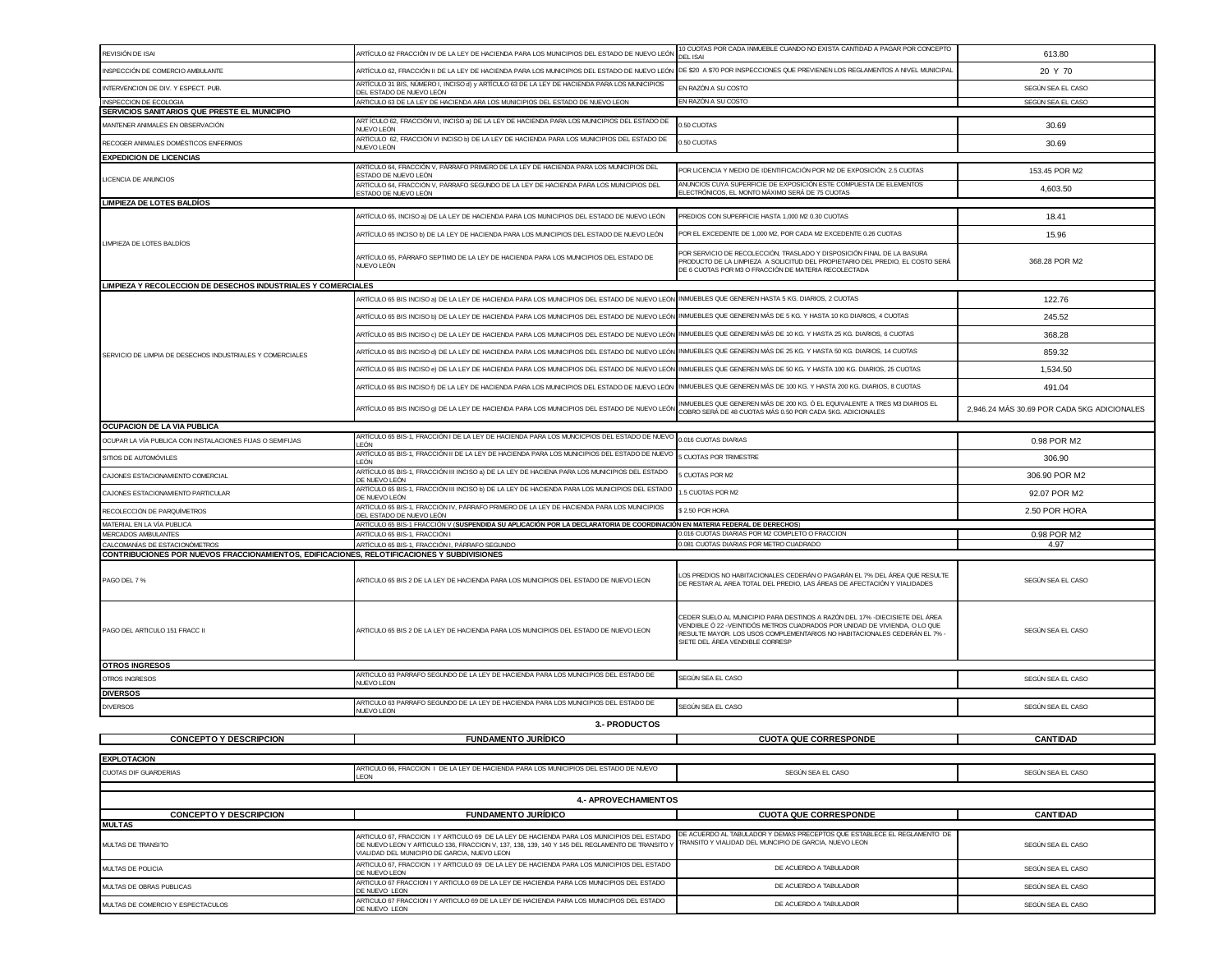| REVISIÓN DE ISAI                                                                                                              | ARTÍCULO 62 FRACCIÓN IV DE LA LEY DE HACIENDA PARA LOS MUNICIPIOS DEL ESTADO DE NUEVO LEÓN                                                                                                                                                    | 10 CUOTAS POR CADA INMUEBLE CUANDO NO EXISTA CANTIDAD A PAGAR POR CONCEPTO<br><b>DEL ISA</b>                                                                                                                                                                              | 613.80                                      |  |
|-------------------------------------------------------------------------------------------------------------------------------|-----------------------------------------------------------------------------------------------------------------------------------------------------------------------------------------------------------------------------------------------|---------------------------------------------------------------------------------------------------------------------------------------------------------------------------------------------------------------------------------------------------------------------------|---------------------------------------------|--|
| INSPECCIÓN DE COMERCIO AMBULANTE                                                                                              | ARTÍCULO 62, FRACCIÓN II DE LA LEY DE HACIENDA PARA LOS MUNICIPIOS DEL ESTADO DE NUEVO LEÓN                                                                                                                                                   | DE \$20 A \$70 POR INSPECCIONES QUE PREVIENEN LOS REGLAMENTOS A NIVEL MUNICIPAL                                                                                                                                                                                           | 20 Y 70                                     |  |
| INTERVENCION DE DIV. Y ESPECT. PUB.                                                                                           | ARTÍCULO 31 BIS, NÚMERO I, INCISO d) y ARTÍCULO 63 DE LA LEY DE HACIENDA PARA LOS MUNICIPIOS<br>DEL ESTADO DE NUEVO LEÓN                                                                                                                      | EN RAZÓN A SU COSTO                                                                                                                                                                                                                                                       | SEGÚN SEA EL CASO                           |  |
| INSPECCION DE ECOLOGIA                                                                                                        | ARTICULO 63 DE LA LEY DE HACIENDA ARA LOS MUNICIPIOS DEL ESTADO DE NUEVO LEON                                                                                                                                                                 | EN RAZÓN A SU COSTO                                                                                                                                                                                                                                                       | SEGÚN SEA EL CASO                           |  |
| SERVICIOS SANITARIOS QUE PRESTE EL MUNICIPIO                                                                                  | ART ÍCULO 62, FRACCIÓN VI, INCISO a) DE LA LEY DE HACIENDA PARA LOS MUNICIPIOS DEL ESTADO DE                                                                                                                                                  |                                                                                                                                                                                                                                                                           |                                             |  |
| MANTENER ANIMALES EN OBSERVACIÓN                                                                                              | NUEVO LEÓN                                                                                                                                                                                                                                    | 0.50 CUOTAS                                                                                                                                                                                                                                                               | 30.69                                       |  |
| RECOGER ANIMALES DOMÉSTICOS ENFERMOS                                                                                          | ARTÍCULO 62, FRACCIÓN VI INCISO b) DE LA LEY DE HACIENDA PARA LOS MUNICIPIOS DEL ESTADO DE<br>NUEVO LEÓN                                                                                                                                      | .50 CUOTAS                                                                                                                                                                                                                                                                | 30.69                                       |  |
| <b>EXPEDICION DE LICENCIAS</b>                                                                                                | ARTÍCULO 64, FRACCIÓN V, PÁRRAFO PRIMERO DE LA LEY DE HACIENDA PARA LOS MUNICIPIOS DEL                                                                                                                                                        |                                                                                                                                                                                                                                                                           |                                             |  |
| LICENCIA DE ANUNCIOS                                                                                                          | ESTADO DE NUEVO LEÓN                                                                                                                                                                                                                          | POR LICENCIA Y MEDIO DE IDENTIFICACIÓN POR M2 DE EXPOSICIÓN, 2.5 CUOTAS<br>ANUNCIOS CUYA SUPERFICIE DE EXPOSICIÓN ESTE COMPUESTA DE ELEMENTOS                                                                                                                             | 153.45 POR M2                               |  |
|                                                                                                                               | ARTÍCULO 64, FRACCIÓN V, PÁRRAFO SEGUNDO DE LA LEY DE HACIENDA PARA LOS MUNICIPIOS DEL<br>ESTADO DE NUEVO LEÓN                                                                                                                                | ELECTRÓNICOS, EL MONTO MÁXIMO SERÁ DE 75 CUOTAS                                                                                                                                                                                                                           | 4,603.50                                    |  |
| <b>LIMPIEZA DE LOTES BALDÍOS</b>                                                                                              |                                                                                                                                                                                                                                               |                                                                                                                                                                                                                                                                           |                                             |  |
|                                                                                                                               | ARTÍCULO 65, INCISO a) DE LA LEY DE HACIENDA PARA LOS MUNICIPIOS DEL ESTADO DE NUEVO LEÓN                                                                                                                                                     | PREDIOS CON SUPERFICIE HASTA 1,000 M2 0.30 CUOTAS                                                                                                                                                                                                                         | 18.41                                       |  |
| LIMPIEZA DE LOTES BALDÍOS                                                                                                     | ARTÍCULO 65 INCISO b) DE LA LEY DE HACIENDA PARA LOS MUNICIPIOS DEL ESTADO DE NUEVO LEÓN                                                                                                                                                      | POR EL EXCEDENTE DE 1.000 M2. POR CADA M2 EXCEDENTE 0.26 CUOTAS                                                                                                                                                                                                           | 15.96                                       |  |
|                                                                                                                               | ARTÍCULO 65, PÁRRAFO SEPTIMO DE LA LEY DE HACIENDA PARA LOS MUNICIPIOS DEL ESTADO DE<br>NUEVO LEÓN                                                                                                                                            | POR SERVICIO DE RECOLECCIÓN, TRASLADO Y DISPOSICIÓN FINAL DE LA BASURA<br>PRODUCTO DE LA LIMPIEZA A SOLICITUD DEL PROPIETARIO DEL PREDIO, EL COSTO SERÁ<br>DE 6 CUOTAS POR M3 O FRACCIÓN DE MATERIA RECOLECTADA                                                           | 368.28 POR M2                               |  |
| LIMPIEZA Y RECOLECCION DE DESECHOS INDUSTRIALES Y COMERCIALES                                                                 |                                                                                                                                                                                                                                               |                                                                                                                                                                                                                                                                           |                                             |  |
|                                                                                                                               | ARTÍCULO 65 BIS INCISO a) DE LA LEY DE HACIENDA PARA LOS MUNICIPIOS DEL ESTADO DE NUEVO LEÓN INMUEBLES QUE GENEREN HASTA 5 KG. DIARIOS, 2 CUOTAS                                                                                              |                                                                                                                                                                                                                                                                           | 122.76                                      |  |
|                                                                                                                               | ARTÍCULO 65 BIS INCISO b) DE LA LEY DE HACIENDA PARA LOS MUNICIPIOS DEL ESTADO DE NUEVO LEÓN                                                                                                                                                  | INMUEBLES QUE GENEREN MÁS DE 5 KG. Y HASTA 10 KG DIARIOS, 4 CUOTAS                                                                                                                                                                                                        | 245.52                                      |  |
|                                                                                                                               | ARTÍCULO 65 BIS INCISO c) DE LA LEY DE HACIENDA PARA LOS MUNICIPIOS DEL ESTADO DE NUEVO LEÓN                                                                                                                                                  | INMUEBLES QUE GENEREN MÁS DE 10 KG. Y HASTA 25 KG. DIARIOS, 6 CUOTAS                                                                                                                                                                                                      | 368.28                                      |  |
| SERVICIO DE LIMPIA DE DESECHOS INDUSTRIALES Y COMERCIALES                                                                     | ARTÍCULO 65 BIS INCISO d) DE LA LEY DE HACIENDA PARA LOS MUNICIPIOS DEL ESTADO DE NUEVO LEÓN                                                                                                                                                  | INMUEBLES QUE GENEREN MÁS DE 25 KG. Y HASTA 50 KG. DIARIOS, 14 CUOTAS                                                                                                                                                                                                     | 859.32                                      |  |
|                                                                                                                               | ARTÍCULO 65 BIS INCISO e) DE LA LEY DE HACIENDA PARA LOS MUNICIPIOS DEL ESTADO DE NUEVO LEÓN                                                                                                                                                  | INMUEBLES QUE GENEREN MÁS DE 50 KG. Y HASTA 100 KG. DIARIOS, 25 CUOTAS                                                                                                                                                                                                    | 1,534.50                                    |  |
|                                                                                                                               | ARTÍCULO 65 BIS INCISO f) DE LA LEY DE HACIENDA PARA LOS MUNICIPIOS DEL ESTADO DE NUEVO LEÓN                                                                                                                                                  | INMUEBLES QUE GENEREN MÁS DE 100 KG. Y HASTA 200 KG. DIARIOS, 8 CUOTAS                                                                                                                                                                                                    | 491.04                                      |  |
|                                                                                                                               |                                                                                                                                                                                                                                               | NMUEBLES QUE GENEREN MÁS DE 200 KG. Ó EL EQUIVALENTE A TRES M3 DIARIOS EL                                                                                                                                                                                                 |                                             |  |
|                                                                                                                               | ARTÍCULO 65 BIS INCISO q) DE LA LEY DE HACIENDA PARA LOS MUNICIPIOS DEL ESTADO DE NUEVO LEÓN                                                                                                                                                  | COBRO SERÁ DE 48 CUOTAS MÁS 0.50 POR CADA 5KG. ADICIONALES                                                                                                                                                                                                                | 2,946.24 MÁS 30.69 POR CADA 5KG ADICIONALES |  |
| OCUPACION DE LA VIA PUBLICA                                                                                                   | ARTÍCULO 65 BIS-1, FRACCIÓN I DE LA LEY DE HACIENDA PARA LOS MUNCICPIOS DEL ESTADO DE NUEVO                                                                                                                                                   |                                                                                                                                                                                                                                                                           |                                             |  |
| OCUPAR LA VÍA PUBLICA CON INSTALACIONES FIJAS O SEMIFIJAS                                                                     | I FÓN<br>ARTÍCULO 65 BIS-1, FRACCIÓN II DE LA LEY DE HACIENDA PARA LOS MUNICIPIOS DEL ESTADO DE NUEVO                                                                                                                                         | 0.016 CUOTAS DIARIAS                                                                                                                                                                                                                                                      | 0.98 POR M2                                 |  |
| SITIOS DE AUTOMÓVILES                                                                                                         | LEÓN                                                                                                                                                                                                                                          | <b>CUOTAS POR TRIMESTRE</b>                                                                                                                                                                                                                                               | 306.90                                      |  |
| CAJONES ESTACIONAMIENTO COMERCIAL                                                                                             | ARTÍCULO 65 BIS-1, FRACCIÓN III INCISO a) DE LA LEY DE HACIENA PARA LOS MUNICIPIOS DEL ESTADO<br>DE NUEVO LEÓN                                                                                                                                | CUOTAS POR M2                                                                                                                                                                                                                                                             | 306.90 POR M2                               |  |
| CAJONES ESTACIONAMIENTO PARTICULAR                                                                                            | ARTÍCULO 65 BIS-1, FRACCIÓN III INCISO b) DE LA LEY DE HACIENDA PARA LOS MUNICIPIOS DEL ESTADO<br>DE NUEVO LEÓN                                                                                                                               | .5 CUOTAS POR M2                                                                                                                                                                                                                                                          | 92.07 POR M2                                |  |
| RECOLECCIÓN DE PARQUÍMETROS                                                                                                   | ARTÍCULO 65 BIS-1, FRACCIÓN IV, PÁRRAFO PRIMERO DE LA LEY DE HACIENDA PARA LOS MUNICIPIOS<br>DEL ESTADO DE NUEVO LEÓN                                                                                                                         | 2.50 POR HORA                                                                                                                                                                                                                                                             | 2.50 POR HORA                               |  |
| MATERIAL EN LA VÍA PUBLICA                                                                                                    | ARTÍCULO 65 BIS-1 FRACCIÓN V ( <b>SUSPENDIDA SU APLICACIÓN POR LA DECLARATORIA DE COORDINACIÓN EN MATERIA FEDERAL DE DERECHOS</b> )                                                                                                           |                                                                                                                                                                                                                                                                           |                                             |  |
| MERCADOS AMBULANTES                                                                                                           | ARTÍCULO 65 BIS-1. FRACCIÓN I                                                                                                                                                                                                                 | 0.016 CUOTAS DIARIAS POR M2 COMPLETO O FRACCION<br>0.081 CUOTAS DIARIAS POR METRO CUADRADO                                                                                                                                                                                | 0.98 POR M2                                 |  |
| CALCOMANÍAS DE ESTACIONÓMETROS<br>CONTRIBUCIONES POR NUEVOS FRACCIONAMIENTOS, EDIFICACIONES, RELOTIFICACIONES Y SUBDIVISIONES | ARTÍCULO 65 BIS-1, FRACCIÓN I, PÁRRAFO SEGUNDO                                                                                                                                                                                                |                                                                                                                                                                                                                                                                           | 4.97                                        |  |
| PAGO DEL 7 %                                                                                                                  | ARTICULO 65 BIS 2 DE LA LEY DE HACIENDA PARA LOS MUNICIPIOS DEL ESTADO DE NUEVO LEON                                                                                                                                                          | LOS PREDIOS NO HABITACIONALES CEDERÁN O PAGARÁN EL 7% DEL ÁREA QUE RESULTE<br>DE RESTAR AL AREA TOTAL DEL PREDIO, LAS ÁREAS DE AFECTACIÓN Y VIALIDADES                                                                                                                    | SEGÚN SEA EL CASO                           |  |
| PAGO DEL ARTICULO 151 FRACC II<br><b>OTROS INGRESOS</b>                                                                       | ARTICULO 65 BIS 2 DE LA LEY DE HACIENDA PARA LOS MUNICIPIOS DEL ESTADO DE NUEVO LEON                                                                                                                                                          | CEDER SUELO AL MUNICIPIO PARA DESTINOS A RAZÓN DEL 17% -DIECISIETE DEL ÁREA<br>VENDIBLE Ó 22 -VEINTIDÓS METROS CUADRADOS POR UNIDAD DE VIVIENDA, O LO QUE<br>RESULTE MAYOR. LOS USOS COMPLEMENTARIOS NO HABITACIONALES CEDERÁN EL 7% -<br>SIETE DEL ÁREA VENDIBLE CORRESP | SEGÚN SEA EL CASO                           |  |
| OTROS INGRESOS                                                                                                                | ARTICULO 63 PARRAFO SEGUNDO DE LA LEY DE HACIENDA PARA LOS MUNICIPIOS DEL ESTADO DE                                                                                                                                                           | SEGÚN SEA EL CASO                                                                                                                                                                                                                                                         | SEGÚN SEA EL CASO                           |  |
| <b>DIVERSOS</b>                                                                                                               | <b>NUEVO LEON</b>                                                                                                                                                                                                                             |                                                                                                                                                                                                                                                                           |                                             |  |
| <b>DIVERSOS</b>                                                                                                               | ARTICULO 63 PARRAFO SEGUNDO DE LA LEY DE HACIENDA PARA LOS MUNICIPIOS DEL ESTADO DE                                                                                                                                                           | SEGÚN SEA EL CASO                                                                                                                                                                                                                                                         | SEGÚN SEA EL CASO                           |  |
|                                                                                                                               | <b>NUEVO LEON</b><br>3. PRODUCTOS                                                                                                                                                                                                             |                                                                                                                                                                                                                                                                           |                                             |  |
| <b>CONCEPTO Y DESCRIPCION</b>                                                                                                 | <u>FUNDAMENTO JURÍDICO</u>                                                                                                                                                                                                                    | <b>CUOTA QUE CORRESPONDE</b>                                                                                                                                                                                                                                              | <b>CANTIDAD</b>                             |  |
|                                                                                                                               |                                                                                                                                                                                                                                               |                                                                                                                                                                                                                                                                           |                                             |  |
| <b>EXPLOTACION</b>                                                                                                            | ARTICULO 66, FRACCION I DE LA LEY DE HACIENDA PARA LOS MUNICIPIOS DEL ESTADO DE NUEVO                                                                                                                                                         |                                                                                                                                                                                                                                                                           |                                             |  |
| <b>CUOTAS DIF GUARDERIAS</b>                                                                                                  | <b>IFON</b>                                                                                                                                                                                                                                   | SEGÚN SEA EL CASO                                                                                                                                                                                                                                                         | SEGÚN SEA EL CASO                           |  |
| <b>4.- APROVECHAMIENTOS</b>                                                                                                   |                                                                                                                                                                                                                                               |                                                                                                                                                                                                                                                                           |                                             |  |
| <b>CONCEPTO Y DESCRIPCION</b>                                                                                                 | <b>FUNDAMENTO JURÍDICO</b>                                                                                                                                                                                                                    | <b>CUOTA QUE CORRESPONDE</b>                                                                                                                                                                                                                                              | <b>CANTIDAD</b>                             |  |
| <b>MULTAS</b>                                                                                                                 |                                                                                                                                                                                                                                               |                                                                                                                                                                                                                                                                           |                                             |  |
| <b>MULTAS DE TRANSITO</b>                                                                                                     | ARTICULO 67, FRACCION I Y ARTICULO 69 DE LA LEY DE HACIENDA PARA LOS MUNICIPIOS DEL ESTADO<br>DE NUEVO LEON Y ARTICULO 136, FRACCION V, 137, 138, 139, 140 Y 145 DEL REGLAMENTO DE TRANSITO Y<br>VIALIDAD DEL MUNICIPIO DE GARCIA. NUEVO LEON | DE ACUERDO AL TABULADOR Y DEMAS PRECEPTOS QUE ESTABLECE EL REGLAMENTO DE<br>TRANSITO Y VIALIDAD DEL MUNCIPIO DE GARCIA, NUEVO LEON                                                                                                                                        | SEGÚN SEA EL CASO                           |  |
| MULTAS DE POLICIA                                                                                                             | ARTICULO 67, FRACCION I Y ARTICULO 69 DE LA LEY DE HACIENDA PARA LOS MUNICIPIOS DEL ESTADO<br>DE NUEVO LEON                                                                                                                                   | DE ACUERDO A TABULADOR                                                                                                                                                                                                                                                    | SEGÚN SEA EL CASO                           |  |
| MULTAS DE OBRAS PUBLICAS                                                                                                      | ARTICULO 67 FRACCION I Y ARTICULO 69 DE LA LEY DE HACIENDA PARA LOS MUNICIPIOS DEL ESTADO<br>DE NUEVO LEON                                                                                                                                    | DE ACUERDO A TABULADOR                                                                                                                                                                                                                                                    | SEGÚN SEA EL CASO                           |  |
| MULTAS DE COMERCIO Y ESPECTACULOS                                                                                             | ARTICULO 67 FRACCION I Y ARTICULO 69 DE LA LEY DE HACIENDA PARA LOS MUNICIPIOS DEL ESTADO<br>DE NUEVO LEON                                                                                                                                    | DE ACUERDO A TABULADOR                                                                                                                                                                                                                                                    | SEGÚN SEA EL CASO                           |  |